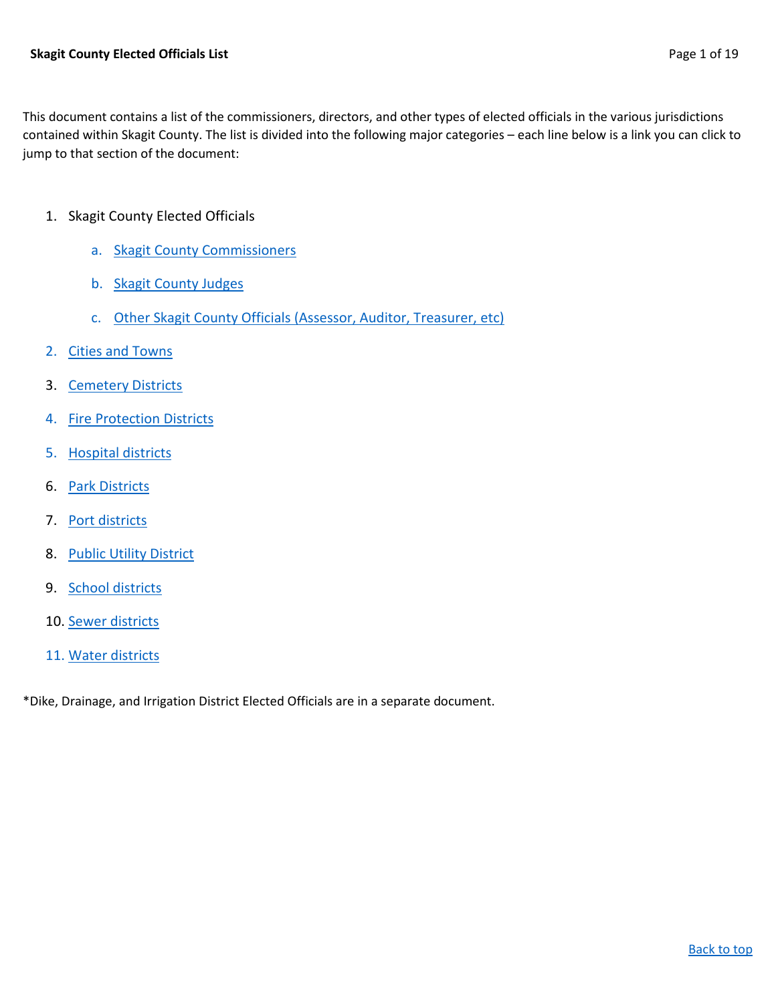<span id="page-0-0"></span>This document contains a list of the commissioners, directors, and other types of elected officials in the various jurisdictions contained within Skagit County. The list is divided into the following major categories – each line below is a link you can click to jump to that section of the document:

- 1. Skagit County Elected Officials
	- a. [Skagit County Commissioners](#page-1-0)
	- b. [Skagit County Judges](#page-2-0)
	- c. Other [Skagit County Officials \(Assessor, Auditor, Treasurer, etc\)](#page-1-1)
- 2. [Cities and Towns](#page-5-0)
- 3. [Cemetery Districts](#page-3-0)
- 4. [Fire Protection Districts](#page-9-0)
- 5. [Hospital districts](#page-14-0)
- 6. [Park Districts](#page-9-1)
- 7. [Port districts](#page-15-0)
- 8. [Public Utility District](#page-15-1)
- 9. [School districts](#page-16-0)
- 10. [Sewer districts](#page-18-0)
- 11. [Water districts](#page-18-1)

\*Dike, Drainage, and Irrigation District Elected Officials are in a separate document.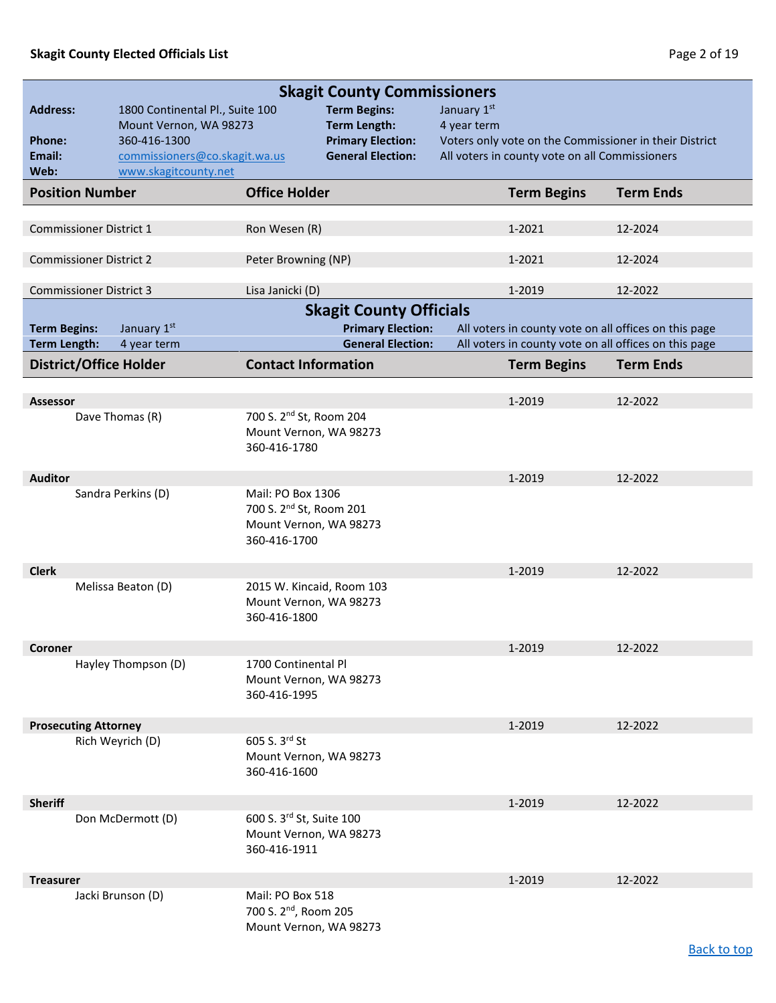[Back to top](#page-0-0)

<span id="page-1-1"></span><span id="page-1-0"></span>

| <b>Skagit County Commissioners</b> |                                        |                                                    |                                                 |             |                                                       |                                                        |
|------------------------------------|----------------------------------------|----------------------------------------------------|-------------------------------------------------|-------------|-------------------------------------------------------|--------------------------------------------------------|
| <b>Address:</b>                    | 1800 Continental Pl., Suite 100        |                                                    | <b>Term Begins:</b>                             | January 1st |                                                       |                                                        |
| <b>Phone:</b>                      | Mount Vernon, WA 98273<br>360-416-1300 |                                                    | <b>Term Length:</b><br><b>Primary Election:</b> | 4 year term |                                                       | Voters only vote on the Commissioner in their District |
| Email:                             | commissioners@co.skagit.wa.us          |                                                    | <b>General Election:</b>                        |             | All voters in county vote on all Commissioners        |                                                        |
| Web:                               | www.skagitcounty.net                   |                                                    |                                                 |             |                                                       |                                                        |
| <b>Position Number</b>             |                                        | <b>Office Holder</b>                               |                                                 |             | <b>Term Begins</b>                                    | <b>Term Ends</b>                                       |
|                                    |                                        |                                                    |                                                 |             |                                                       |                                                        |
| <b>Commissioner District 1</b>     |                                        | Ron Wesen (R)                                      |                                                 |             | 1-2021                                                | 12-2024                                                |
| <b>Commissioner District 2</b>     |                                        | Peter Browning (NP)                                |                                                 |             | 1-2021                                                | 12-2024                                                |
|                                    |                                        |                                                    |                                                 |             |                                                       |                                                        |
| <b>Commissioner District 3</b>     |                                        | Lisa Janicki (D)                                   |                                                 |             | 1-2019                                                | 12-2022                                                |
|                                    |                                        |                                                    | <b>Skagit County Officials</b>                  |             |                                                       |                                                        |
| <b>Term Begins:</b>                | January 1st                            |                                                    | <b>Primary Election:</b>                        |             | All voters in county vote on all offices on this page |                                                        |
| <b>Term Length:</b>                | 4 year term                            |                                                    | <b>General Election:</b>                        |             | All voters in county vote on all offices on this page |                                                        |
| <b>District/Office Holder</b>      |                                        | <b>Contact Information</b>                         |                                                 |             | <b>Term Begins</b>                                    | <b>Term Ends</b>                                       |
| <b>Assessor</b>                    |                                        |                                                    |                                                 |             | 1-2019                                                | 12-2022                                                |
|                                    | Dave Thomas (R)                        | 700 S. 2 <sup>nd</sup> St, Room 204                |                                                 |             |                                                       |                                                        |
|                                    |                                        | Mount Vernon, WA 98273                             |                                                 |             |                                                       |                                                        |
|                                    |                                        | 360-416-1780                                       |                                                 |             |                                                       |                                                        |
| <b>Auditor</b>                     |                                        |                                                    |                                                 |             | 1-2019                                                | 12-2022                                                |
|                                    | Sandra Perkins (D)                     | Mail: PO Box 1306                                  |                                                 |             |                                                       |                                                        |
|                                    |                                        | 700 S. 2 <sup>nd</sup> St, Room 201                |                                                 |             |                                                       |                                                        |
|                                    |                                        | Mount Vernon, WA 98273<br>360-416-1700             |                                                 |             |                                                       |                                                        |
|                                    |                                        |                                                    |                                                 |             |                                                       |                                                        |
| <b>Clerk</b>                       |                                        |                                                    |                                                 |             | 1-2019                                                | 12-2022                                                |
|                                    | Melissa Beaton (D)                     | 2015 W. Kincaid, Room 103                          |                                                 |             |                                                       |                                                        |
|                                    |                                        | Mount Vernon, WA 98273<br>360-416-1800             |                                                 |             |                                                       |                                                        |
|                                    |                                        |                                                    |                                                 |             |                                                       |                                                        |
| Coroner                            |                                        |                                                    |                                                 |             | 1-2019                                                | 12-2022                                                |
|                                    | Hayley Thompson (D)                    | 1700 Continental Pl<br>Mount Vernon, WA 98273      |                                                 |             |                                                       |                                                        |
|                                    |                                        | 360-416-1995                                       |                                                 |             |                                                       |                                                        |
|                                    |                                        |                                                    |                                                 |             |                                                       |                                                        |
| <b>Prosecuting Attorney</b>        |                                        |                                                    |                                                 |             | 1-2019                                                | 12-2022                                                |
|                                    | Rich Weyrich (D)                       | 605 S. 3rd St<br>Mount Vernon, WA 98273            |                                                 |             |                                                       |                                                        |
|                                    |                                        | 360-416-1600                                       |                                                 |             |                                                       |                                                        |
|                                    |                                        |                                                    |                                                 |             |                                                       |                                                        |
| <b>Sheriff</b>                     |                                        |                                                    |                                                 |             | 1-2019                                                | 12-2022                                                |
|                                    | Don McDermott (D)                      | 600 S. 3rd St, Suite 100<br>Mount Vernon, WA 98273 |                                                 |             |                                                       |                                                        |
|                                    |                                        | 360-416-1911                                       |                                                 |             |                                                       |                                                        |
|                                    |                                        |                                                    |                                                 |             |                                                       |                                                        |
| <b>Treasurer</b>                   |                                        | Mail: PO Box 518                                   |                                                 |             | 1-2019                                                | 12-2022                                                |
|                                    | Jacki Brunson (D)                      | 700 S. 2 <sup>nd</sup> , Room 205                  |                                                 |             |                                                       |                                                        |
|                                    |                                        | Mount Vernon, WA 98273                             |                                                 |             |                                                       |                                                        |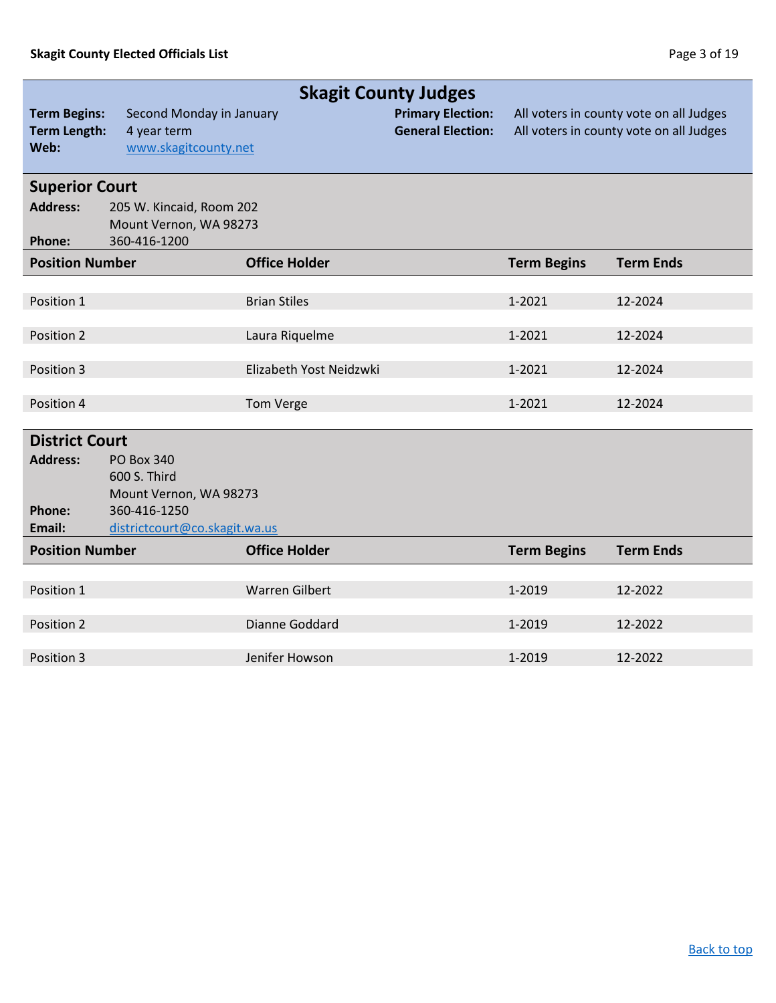<span id="page-2-0"></span>

|                                                    | <b>Skagit County Judges</b>                                     |                         |                                                      |                    |                                                                                    |  |
|----------------------------------------------------|-----------------------------------------------------------------|-------------------------|------------------------------------------------------|--------------------|------------------------------------------------------------------------------------|--|
| <b>Term Begins:</b><br><b>Term Length:</b><br>Web: | Second Monday in January<br>4 year term<br>www.skagitcounty.net |                         | <b>Primary Election:</b><br><b>General Election:</b> |                    | All voters in county vote on all Judges<br>All voters in county vote on all Judges |  |
| <b>Superior Court</b>                              |                                                                 |                         |                                                      |                    |                                                                                    |  |
| <b>Address:</b>                                    | 205 W. Kincaid, Room 202                                        |                         |                                                      |                    |                                                                                    |  |
| Phone:                                             | Mount Vernon, WA 98273<br>360-416-1200                          |                         |                                                      |                    |                                                                                    |  |
| <b>Position Number</b>                             |                                                                 | <b>Office Holder</b>    |                                                      | <b>Term Begins</b> | <b>Term Ends</b>                                                                   |  |
|                                                    |                                                                 |                         |                                                      |                    |                                                                                    |  |
| Position 1                                         |                                                                 | <b>Brian Stiles</b>     |                                                      | 1-2021             | 12-2024                                                                            |  |
|                                                    |                                                                 |                         |                                                      |                    |                                                                                    |  |
| Position 2                                         |                                                                 | Laura Riquelme          |                                                      | 1-2021             | 12-2024                                                                            |  |
| Position 3                                         |                                                                 | Elizabeth Yost Neidzwki |                                                      | 1-2021             | 12-2024                                                                            |  |
|                                                    |                                                                 |                         |                                                      |                    |                                                                                    |  |
| Position 4                                         |                                                                 | Tom Verge               |                                                      | 1-2021             | 12-2024                                                                            |  |
| <b>District Court</b>                              |                                                                 |                         |                                                      |                    |                                                                                    |  |
| <b>Address:</b>                                    | <b>PO Box 340</b>                                               |                         |                                                      |                    |                                                                                    |  |
|                                                    | 600 S. Third                                                    |                         |                                                      |                    |                                                                                    |  |
|                                                    | Mount Vernon, WA 98273                                          |                         |                                                      |                    |                                                                                    |  |
| Phone:                                             | 360-416-1250                                                    |                         |                                                      |                    |                                                                                    |  |
| Email:                                             | districtcourt@co.skagit.wa.us                                   |                         |                                                      |                    |                                                                                    |  |
| <b>Position Number</b>                             |                                                                 | <b>Office Holder</b>    |                                                      | <b>Term Begins</b> | <b>Term Ends</b>                                                                   |  |
|                                                    |                                                                 |                         |                                                      |                    |                                                                                    |  |
| Position 1                                         |                                                                 | <b>Warren Gilbert</b>   |                                                      | 1-2019             | 12-2022                                                                            |  |
|                                                    |                                                                 |                         |                                                      |                    |                                                                                    |  |
| Position 2                                         |                                                                 | Dianne Goddard          |                                                      | 1-2019             | 12-2022                                                                            |  |
| Position 3                                         |                                                                 | Jenifer Howson          |                                                      | 1-2019             | 12-2022                                                                            |  |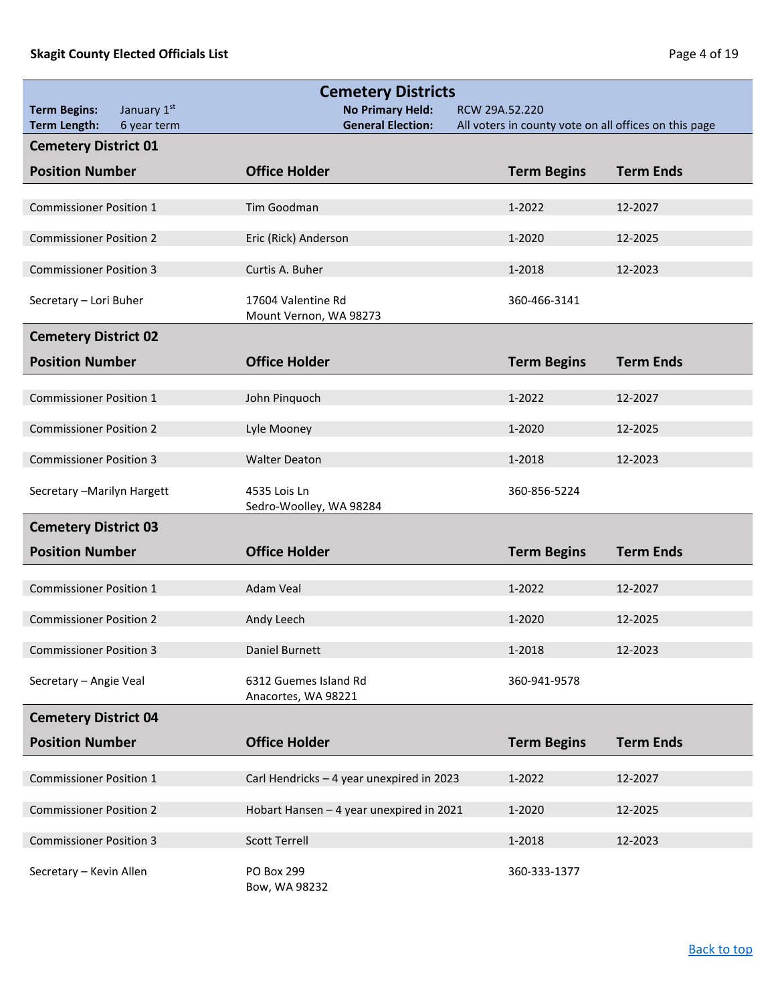<span id="page-3-0"></span>

|                                    | <b>Cemetery Districts</b>                    |                                                       |                  |
|------------------------------------|----------------------------------------------|-------------------------------------------------------|------------------|
| January 1st<br><b>Term Begins:</b> | <b>No Primary Held:</b>                      | RCW 29A.52.220                                        |                  |
| <b>Term Length:</b><br>6 year term | <b>General Election:</b>                     | All voters in county vote on all offices on this page |                  |
| <b>Cemetery District 01</b>        |                                              |                                                       |                  |
| <b>Position Number</b>             | <b>Office Holder</b>                         | <b>Term Begins</b>                                    | <b>Term Ends</b> |
| <b>Commissioner Position 1</b>     | Tim Goodman                                  | 1-2022                                                | 12-2027          |
|                                    |                                              |                                                       |                  |
| <b>Commissioner Position 2</b>     | Eric (Rick) Anderson                         | 1-2020                                                | 12-2025          |
| <b>Commissioner Position 3</b>     | Curtis A. Buher                              | 1-2018                                                | 12-2023          |
| Secretary - Lori Buher             | 17604 Valentine Rd<br>Mount Vernon, WA 98273 | 360-466-3141                                          |                  |
| <b>Cemetery District 02</b>        |                                              |                                                       |                  |
| <b>Position Number</b>             | <b>Office Holder</b>                         | <b>Term Begins</b>                                    | <b>Term Ends</b> |
| <b>Commissioner Position 1</b>     | John Pinquoch                                | 1-2022                                                | 12-2027          |
|                                    |                                              |                                                       |                  |
| <b>Commissioner Position 2</b>     | Lyle Mooney                                  | 1-2020                                                | 12-2025          |
| <b>Commissioner Position 3</b>     | <b>Walter Deaton</b>                         | 1-2018                                                | 12-2023          |
| Secretary - Marilyn Hargett        | 4535 Lois Ln<br>Sedro-Woolley, WA 98284      | 360-856-5224                                          |                  |
| <b>Cemetery District 03</b>        |                                              |                                                       |                  |
| <b>Position Number</b>             | <b>Office Holder</b>                         | <b>Term Begins</b>                                    | <b>Term Ends</b> |
| <b>Commissioner Position 1</b>     | <b>Adam Veal</b>                             | 1-2022                                                | 12-2027          |
| <b>Commissioner Position 2</b>     | Andy Leech                                   | 1-2020                                                | 12-2025          |
| <b>Commissioner Position 3</b>     | Daniel Burnett                               | 1-2018                                                | 12-2023          |
| Secretary - Angie Veal             | 6312 Guemes Island Rd<br>Anacortes, WA 98221 | 360-941-9578                                          |                  |
| <b>Cemetery District 04</b>        |                                              |                                                       |                  |
| <b>Position Number</b>             | <b>Office Holder</b>                         | <b>Term Begins</b>                                    | <b>Term Ends</b> |
|                                    |                                              |                                                       |                  |
| <b>Commissioner Position 1</b>     | Carl Hendricks - 4 year unexpired in 2023    | 1-2022                                                | 12-2027          |
| <b>Commissioner Position 2</b>     | Hobart Hansen - 4 year unexpired in 2021     | 1-2020                                                | 12-2025          |
|                                    |                                              |                                                       |                  |
| <b>Commissioner Position 3</b>     | <b>Scott Terrell</b>                         | 1-2018                                                | 12-2023          |
| Secretary - Kevin Allen            | PO Box 299<br>Bow, WA 98232                  | 360-333-1377                                          |                  |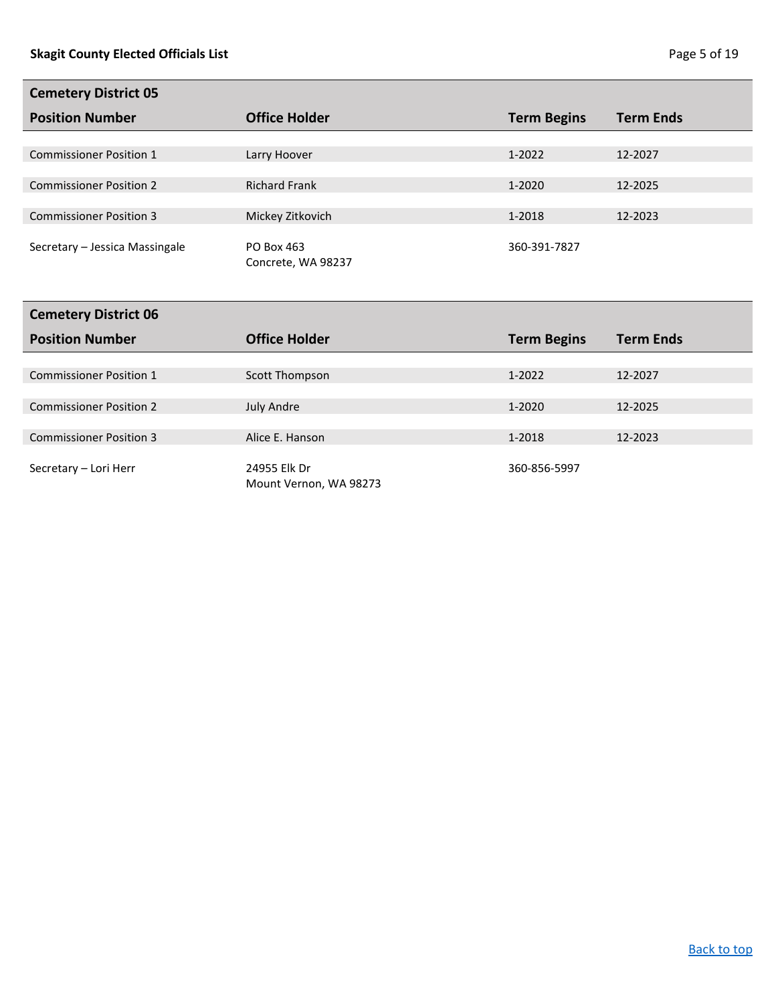| <b>Cemetery District 05</b>    |                      |                    |                  |
|--------------------------------|----------------------|--------------------|------------------|
| <b>Position Number</b>         | <b>Office Holder</b> | <b>Term Begins</b> | <b>Term Ends</b> |
|                                |                      |                    |                  |
| <b>Commissioner Position 1</b> | Larry Hoover         | $1 - 2022$         | 12-2027          |
|                                |                      |                    |                  |
| <b>Commissioner Position 2</b> | <b>Richard Frank</b> | 1-2020             | 12-2025          |
|                                |                      |                    |                  |
| <b>Commissioner Position 3</b> | Mickey Zitkovich     | 1-2018             | 12-2023          |
|                                |                      |                    |                  |
| Secretary - Jessica Massingale | PO Box 463           | 360-391-7827       |                  |
|                                | Concrete, WA 98237   |                    |                  |
|                                |                      |                    |                  |
|                                |                      |                    |                  |
| Cemetery District 06           |                      |                    |                  |

| <b>Office Holder</b>   | <b>Term Begins</b> | <b>Term Ends</b> |
|------------------------|--------------------|------------------|
|                        |                    |                  |
| Scott Thompson         | $1 - 2022$         | 12-2027          |
|                        |                    |                  |
| <b>July Andre</b>      | $1 - 2020$         | 12-2025          |
|                        |                    |                  |
| Alice E. Hanson        | 1-2018             | 12-2023          |
|                        |                    |                  |
| 24955 Elk Dr           | 360-856-5997       |                  |
| Mount Vernon, WA 98273 |                    |                  |
|                        |                    |                  |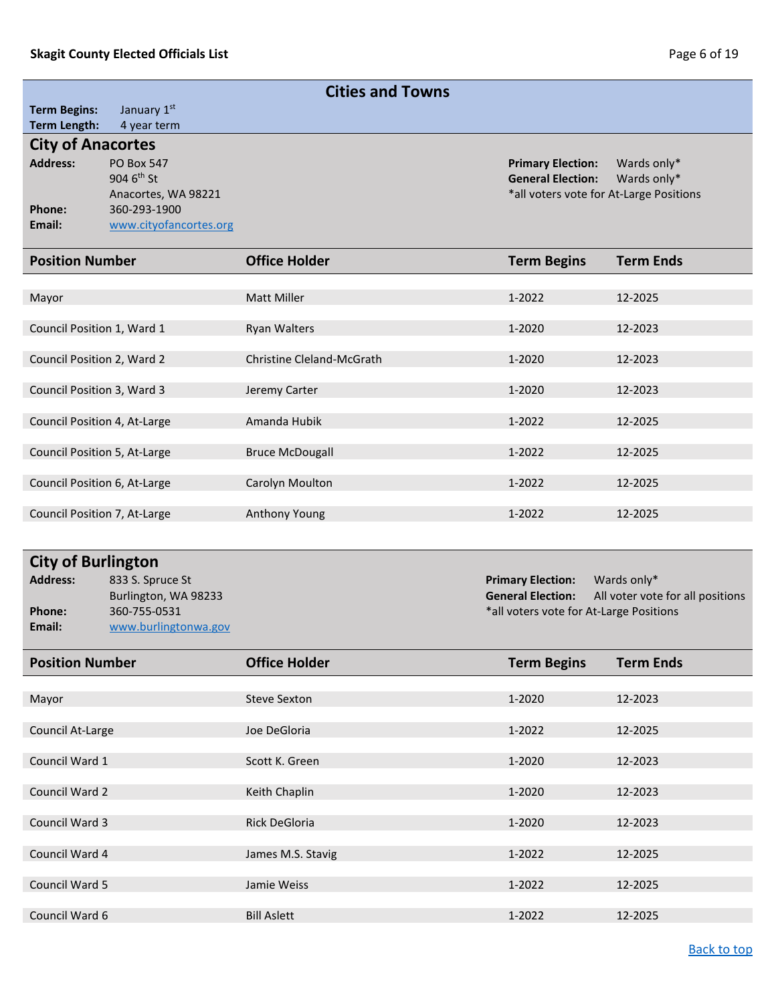<span id="page-5-0"></span>

| <b>Cities and Towns</b>                                                                                                                                                                                                                                                                                           |                                                                                                              |                           |                                                                                                 |                            |
|-------------------------------------------------------------------------------------------------------------------------------------------------------------------------------------------------------------------------------------------------------------------------------------------------------------------|--------------------------------------------------------------------------------------------------------------|---------------------------|-------------------------------------------------------------------------------------------------|----------------------------|
| <b>Term Begins:</b>                                                                                                                                                                                                                                                                                               | January 1st                                                                                                  |                           |                                                                                                 |                            |
| <b>Term Length:</b><br><b>City of Anacortes</b>                                                                                                                                                                                                                                                                   | 4 year term                                                                                                  |                           |                                                                                                 |                            |
| <b>Address:</b><br>Phone:<br>Email:                                                                                                                                                                                                                                                                               | <b>PO Box 547</b><br>904 6 <sup>th</sup> St<br>Anacortes, WA 98221<br>360-293-1900<br>www.cityofancortes.org |                           | <b>Primary Election:</b><br><b>General Election:</b><br>*all voters vote for At-Large Positions | Wards only*<br>Wards only* |
| <b>Position Number</b>                                                                                                                                                                                                                                                                                            |                                                                                                              | <b>Office Holder</b>      | <b>Term Begins</b>                                                                              | <b>Term Ends</b>           |
| Mayor                                                                                                                                                                                                                                                                                                             |                                                                                                              | <b>Matt Miller</b>        | 1-2022                                                                                          | 12-2025                    |
| Council Position 1, Ward 1                                                                                                                                                                                                                                                                                        |                                                                                                              | <b>Ryan Walters</b>       | 1-2020                                                                                          | 12-2023                    |
| Council Position 2, Ward 2                                                                                                                                                                                                                                                                                        |                                                                                                              | Christine Cleland-McGrath | 1-2020                                                                                          | 12-2023                    |
| Council Position 3, Ward 3                                                                                                                                                                                                                                                                                        |                                                                                                              | Jeremy Carter             | 1-2020                                                                                          | 12-2023                    |
| Council Position 4, At-Large                                                                                                                                                                                                                                                                                      |                                                                                                              | Amanda Hubik              | 1-2022                                                                                          | 12-2025                    |
| Council Position 5, At-Large                                                                                                                                                                                                                                                                                      |                                                                                                              | <b>Bruce McDougall</b>    | 1-2022                                                                                          | 12-2025                    |
| Council Position 6, At-Large                                                                                                                                                                                                                                                                                      |                                                                                                              | Carolyn Moulton           | 1-2022                                                                                          | 12-2025                    |
| Council Position 7, At-Large                                                                                                                                                                                                                                                                                      |                                                                                                              | Anthony Young             | 1-2022                                                                                          | 12-2025                    |
| <b>City of Burlington</b><br><b>Address:</b><br>833 S. Spruce St<br><b>Primary Election:</b><br>Wards only*<br>Burlington, WA 98233<br><b>General Election:</b><br>All voter vote for all positions<br>360-755-0531<br>*all voters vote for At-Large Positions<br><b>Phone:</b><br>Email:<br>www.burlingtonwa.gov |                                                                                                              |                           |                                                                                                 |                            |
| <b>Position Number</b>                                                                                                                                                                                                                                                                                            |                                                                                                              | <b>Office Holder</b>      | <b>Term Begins</b>                                                                              | <b>Term Ends</b>           |
| Mayor                                                                                                                                                                                                                                                                                                             |                                                                                                              | <b>Steve Sexton</b>       | 1-2020                                                                                          | 12-2023                    |
| Council At-Large                                                                                                                                                                                                                                                                                                  |                                                                                                              | Joe DeGloria              | 1-2022                                                                                          | 12-2025                    |
| Council Ward 1                                                                                                                                                                                                                                                                                                    |                                                                                                              | Scott K. Green            | 1-2020                                                                                          | 12-2023                    |
| Council Ward 2                                                                                                                                                                                                                                                                                                    |                                                                                                              | Keith Chaplin             | 1-2020                                                                                          | 12-2023                    |
| Council Ward 3                                                                                                                                                                                                                                                                                                    |                                                                                                              | Rick DeGloria             | 1-2020                                                                                          | 12-2023                    |
| Council Ward 4                                                                                                                                                                                                                                                                                                    |                                                                                                              | James M.S. Stavig         | 1-2022                                                                                          | 12-2025                    |
| Council Ward 5                                                                                                                                                                                                                                                                                                    |                                                                                                              | Jamie Weiss               | 1-2022                                                                                          | 12-2025                    |

Council Ward 6 Bill Aslett 1-2022 12-2025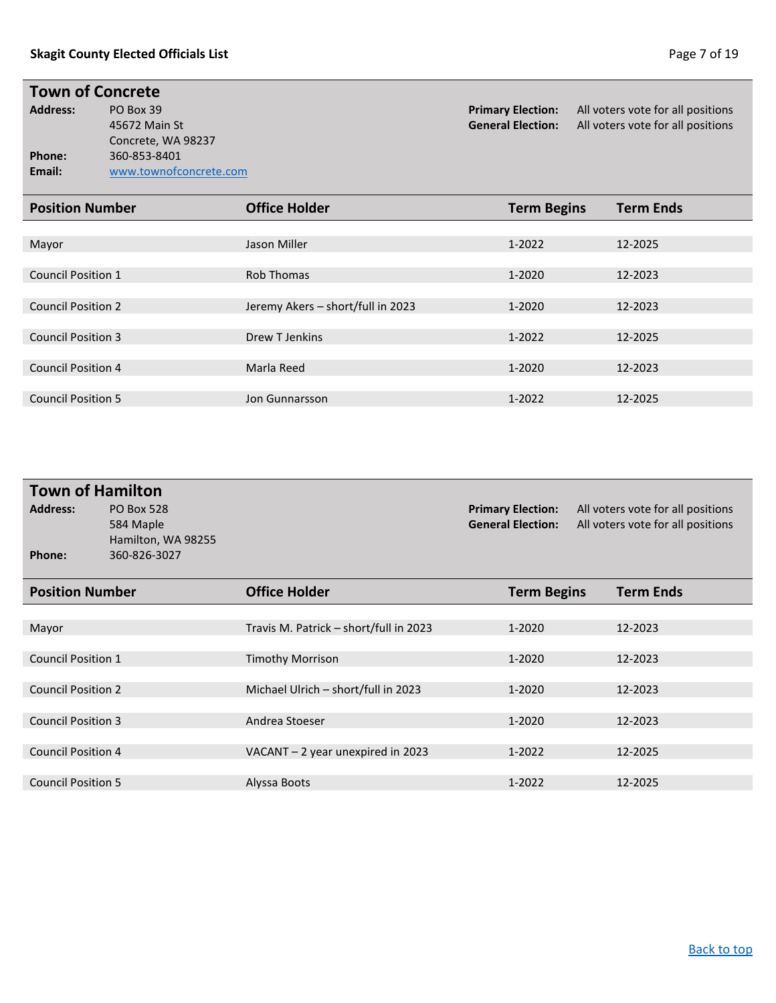# **Town of Concrete**<br>Address: PO Box 39

Concrete, WA 98237 **Phone:** 360-853-8401<br> **Email:** www.townofc **Email:** [www.townofconcrete.com](http://www.townofconcrete.com/)

**PO Box 39 Primary Election:** All voters vote for all positions 45672 Main St **Primary Election:** All voters vote for all positions 45672 Main St All voters vote for all positions

| <b>Position Number</b>    | <b>Office Holder</b>              | <b>Term Begins</b> | <b>Term Ends</b> |
|---------------------------|-----------------------------------|--------------------|------------------|
|                           |                                   |                    |                  |
| Mayor                     | Jason Miller                      | $1 - 2022$         | 12-2025          |
|                           |                                   |                    |                  |
| <b>Council Position 1</b> | <b>Rob Thomas</b>                 | 1-2020             | 12-2023          |
|                           |                                   |                    |                  |
| <b>Council Position 2</b> | Jeremy Akers - short/full in 2023 | 1-2020             | 12-2023          |
|                           |                                   |                    |                  |
| <b>Council Position 3</b> | Drew T Jenkins                    | 1-2022             | 12-2025          |
|                           |                                   |                    |                  |
| <b>Council Position 4</b> | Marla Reed                        | 1-2020             | 12-2023          |
|                           |                                   |                    |                  |
| <b>Council Position 5</b> | Jon Gunnarsson                    | $1 - 2022$         | 12-2025          |

| <b>Town of Hamilton</b>   |                                                                      |                                        |                                                      |                                                                        |  |
|---------------------------|----------------------------------------------------------------------|----------------------------------------|------------------------------------------------------|------------------------------------------------------------------------|--|
| <b>Address:</b><br>Phone: | <b>PO Box 528</b><br>584 Maple<br>Hamilton, WA 98255<br>360-826-3027 |                                        | <b>Primary Election:</b><br><b>General Election:</b> | All voters vote for all positions<br>All voters vote for all positions |  |
|                           |                                                                      |                                        |                                                      |                                                                        |  |
| <b>Position Number</b>    |                                                                      | <b>Office Holder</b>                   | <b>Term Begins</b>                                   | <b>Term Ends</b>                                                       |  |
|                           |                                                                      |                                        |                                                      |                                                                        |  |
| Mayor                     |                                                                      | Travis M. Patrick - short/full in 2023 | 1-2020                                               | 12-2023                                                                |  |
|                           |                                                                      |                                        |                                                      |                                                                        |  |
| <b>Council Position 1</b> |                                                                      | <b>Timothy Morrison</b>                | 1-2020                                               | 12-2023                                                                |  |
|                           |                                                                      |                                        |                                                      |                                                                        |  |
| <b>Council Position 2</b> |                                                                      | Michael Ulrich - short/full in 2023    | 1-2020                                               | 12-2023                                                                |  |
|                           |                                                                      |                                        |                                                      |                                                                        |  |
| <b>Council Position 3</b> |                                                                      | Andrea Stoeser                         | 1-2020                                               | 12-2023                                                                |  |
|                           |                                                                      |                                        |                                                      |                                                                        |  |
| <b>Council Position 4</b> |                                                                      | VACANT - 2 year unexpired in 2023      | 1-2022                                               | 12-2025                                                                |  |
|                           |                                                                      |                                        |                                                      |                                                                        |  |
| <b>Council Position 5</b> |                                                                      | Alyssa Boots                           | 1-2022                                               | 12-2025                                                                |  |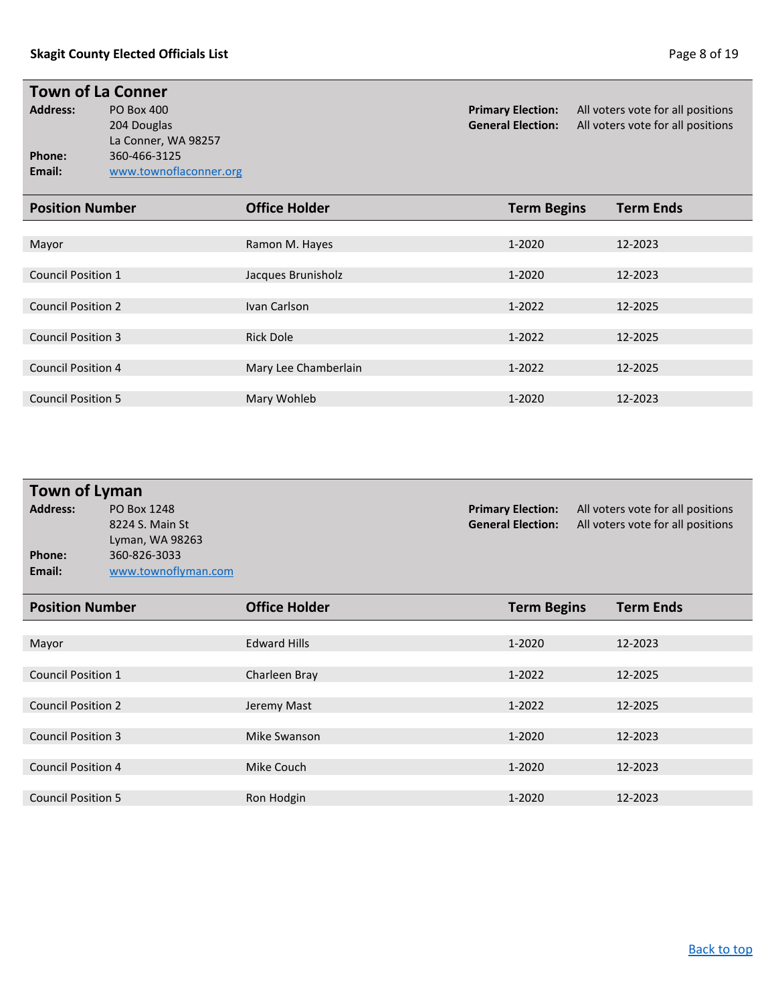# **Town of La Conner**<br>Address: PO Box 400

La Conner, WA 98257 **Phone:** 360-466-3125<br> **Email:** www.townofla **Email:** [www.townoflaconner.org](http://www.townoflaconner.org/)

**Address:** PO Box 400 **Primary Election:** All voters vote for all positions 204 Douglas **Primary Election:** All voters vote for all positions 204 Douglas 204 Douglas **General Election:** All voters vote for all positions

| <b>Office Holder</b> | <b>Term Begins</b> | <b>Term Ends</b> |
|----------------------|--------------------|------------------|
|                      |                    |                  |
| Ramon M. Hayes       | $1 - 2020$         | 12-2023          |
|                      |                    |                  |
| Jacques Brunisholz   | 1-2020             | 12-2023          |
|                      |                    |                  |
| Ivan Carlson         | 1-2022             | 12-2025          |
|                      |                    |                  |
| <b>Rick Dole</b>     | 1-2022             | 12-2025          |
|                      |                    |                  |
| Mary Lee Chamberlain | 1-2022             | 12-2025          |
|                      |                    |                  |
| Mary Wohleb          | 1-2020             | 12-2023          |
|                      |                    |                  |

| <b>Town of Lyman</b> |                     |                          |                                   |  |  |  |  |
|----------------------|---------------------|--------------------------|-----------------------------------|--|--|--|--|
| <b>Address:</b>      | PO Box 1248         | <b>Primary Election:</b> | All voters vote for all positions |  |  |  |  |
|                      | 8224 S. Main St     | <b>General Election:</b> | All voters vote for all positions |  |  |  |  |
|                      | Lyman, WA 98263     |                          |                                   |  |  |  |  |
| Phone:               | 360-826-3033        |                          |                                   |  |  |  |  |
| Email:               | www.townoflyman.com |                          |                                   |  |  |  |  |
|                      |                     |                          |                                   |  |  |  |  |
|                      |                     |                          |                                   |  |  |  |  |

| <b>Position Number</b>    | <b>Office Holder</b> | <b>Term Begins</b> | <b>Term Ends</b> |
|---------------------------|----------------------|--------------------|------------------|
|                           |                      |                    |                  |
| Mayor                     | <b>Edward Hills</b>  | $1 - 2020$         | 12-2023          |
|                           |                      |                    |                  |
| <b>Council Position 1</b> | Charleen Bray        | 1-2022             | 12-2025          |
|                           |                      |                    |                  |
| <b>Council Position 2</b> | Jeremy Mast          | 1-2022             | 12-2025          |
|                           |                      |                    |                  |
| <b>Council Position 3</b> | Mike Swanson         | $1 - 2020$         | 12-2023          |
|                           |                      |                    |                  |
| <b>Council Position 4</b> | Mike Couch           | 1-2020             | 12-2023          |
|                           |                      |                    |                  |
| <b>Council Position 5</b> | Ron Hodgin           | 1-2020             | 12-2023          |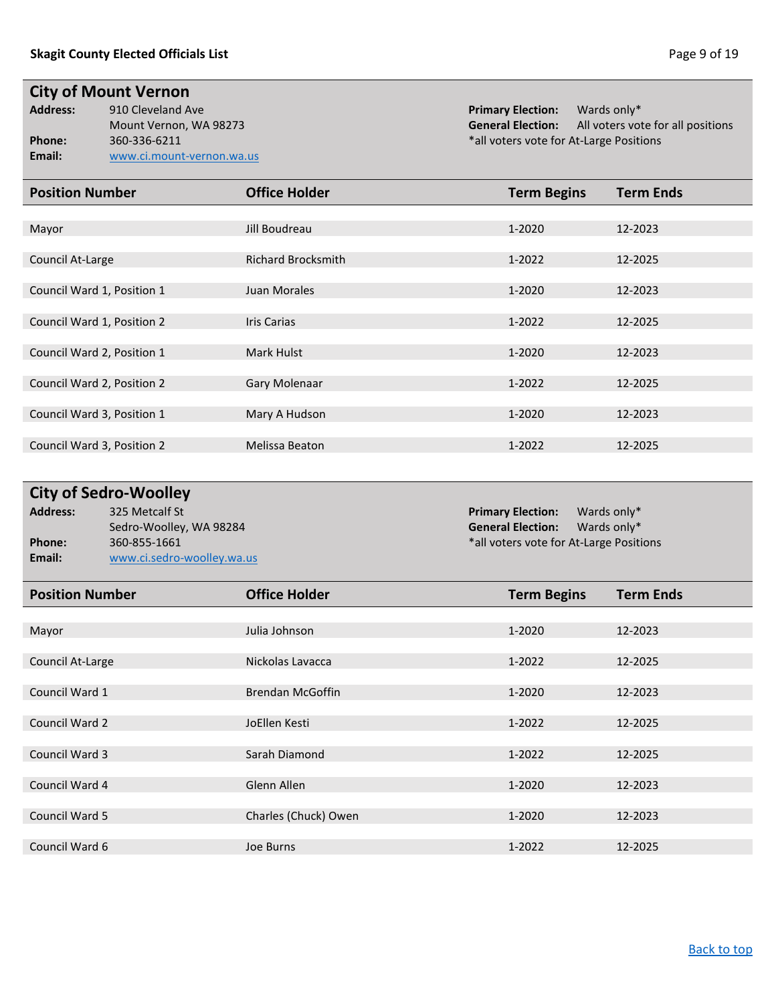**City of Mount Vernon**<br>Address: 910 Cleveland Av **Phone:** 360-336-6211 **and 360-336-6211 \*all voters vote for At-Large Positions Email:** [www.ci.mount-vernon.wa.us](http://www.ci.mount-vernon.wa.us/)

**Address:** 910 Cleveland Ave **Primary Election:** Wards only\* All voters vote for all positions

| <b>Position Number</b>     | <b>Office Holder</b>      | <b>Term Begins</b> | <b>Term Ends</b> |
|----------------------------|---------------------------|--------------------|------------------|
|                            |                           |                    |                  |
| Mayor                      | Jill Boudreau             | 1-2020             | 12-2023          |
|                            |                           |                    |                  |
| Council At-Large           | <b>Richard Brocksmith</b> | 1-2022             | 12-2025          |
|                            |                           |                    |                  |
| Council Ward 1, Position 1 | Juan Morales              | 1-2020             | 12-2023          |
|                            |                           |                    |                  |
| Council Ward 1, Position 2 | <b>Iris Carias</b>        | 1-2022             | 12-2025          |
|                            |                           |                    |                  |
| Council Ward 2, Position 1 | Mark Hulst                | 1-2020             | 12-2023          |
|                            |                           |                    |                  |
| Council Ward 2, Position 2 | Gary Molenaar             | 1-2022             | 12-2025          |
|                            |                           |                    |                  |
| Council Ward 3, Position 1 | Mary A Hudson             | 1-2020             | 12-2023          |
|                            |                           |                    |                  |
| Council Ward 3, Position 2 | Melissa Beaton            | 1-2022             | 12-2025          |

| <b>City of Sedro-Woolley</b> |                            |                                         |             |  |  |  |
|------------------------------|----------------------------|-----------------------------------------|-------------|--|--|--|
| <b>Address:</b>              | 325 Metcalf St             | <b>Primary Election:</b>                | Wards only* |  |  |  |
|                              | Sedro-Woolley, WA 98284    | <b>General Election:</b>                | Wards only* |  |  |  |
| Phone:                       | 360-855-1661               | *all voters vote for At-Large Positions |             |  |  |  |
| Email:                       | www.ci.sedro-woolley.wa.us |                                         |             |  |  |  |

| <b>Position Number</b> | <b>Office Holder</b>    | <b>Term Begins</b> | <b>Term Ends</b> |
|------------------------|-------------------------|--------------------|------------------|
|                        |                         |                    |                  |
| Mayor                  | Julia Johnson           | 1-2020             | 12-2023          |
|                        |                         |                    |                  |
| Council At-Large       | Nickolas Lavacca        | 1-2022             | 12-2025          |
|                        |                         |                    |                  |
| Council Ward 1         | <b>Brendan McGoffin</b> | 1-2020             | 12-2023          |
|                        |                         |                    |                  |
| Council Ward 2         | JoEllen Kesti           | 1-2022             | 12-2025          |
|                        |                         |                    |                  |
| Council Ward 3         | Sarah Diamond           | 1-2022             | 12-2025          |
|                        |                         |                    |                  |
| Council Ward 4         | Glenn Allen             | $1 - 2020$         | 12-2023          |
|                        |                         |                    |                  |
| Council Ward 5         | Charles (Chuck) Owen    | 1-2020             | 12-2023          |
|                        |                         |                    |                  |
| Council Ward 6         | Joe Burns               | 1-2022             | 12-2025          |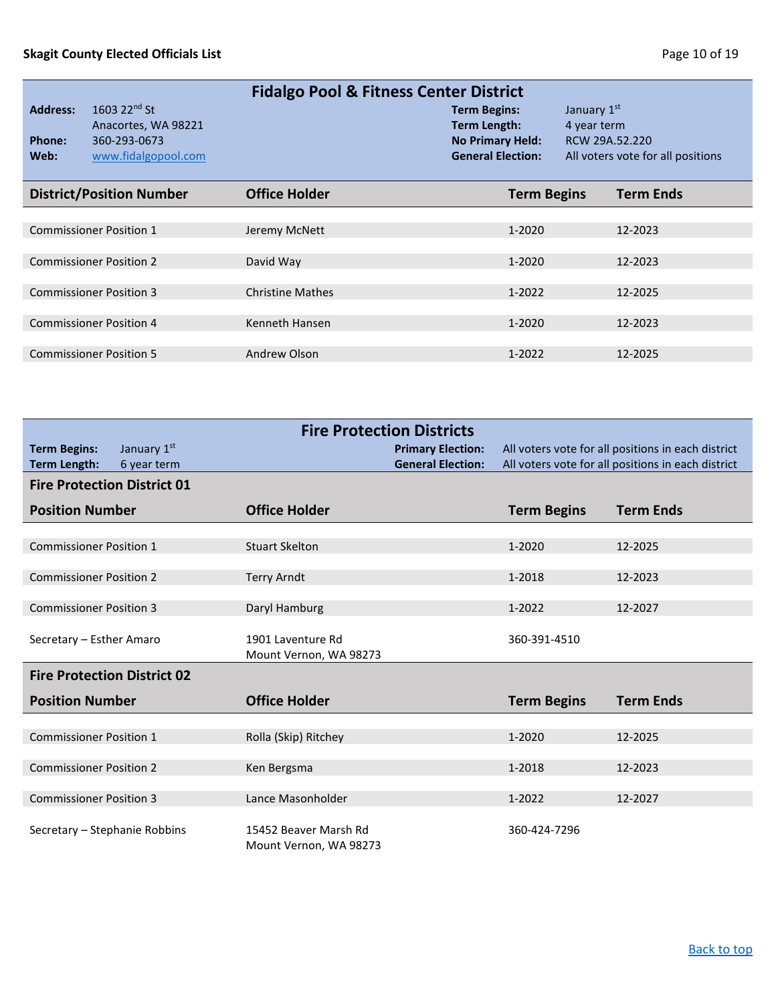<span id="page-9-1"></span>

| <b>Fidalgo Pool &amp; Fitness Center District</b> |                                                                                        |                         |                                                                                            |                                              |                                   |  |
|---------------------------------------------------|----------------------------------------------------------------------------------------|-------------------------|--------------------------------------------------------------------------------------------|----------------------------------------------|-----------------------------------|--|
| <b>Address:</b><br>Phone:<br>Web:                 | 1603 22 <sup>nd</sup> St<br>Anacortes, WA 98221<br>360-293-0673<br>www.fidalgopool.com |                         | <b>Term Begins:</b><br>Term Length:<br><b>No Primary Held:</b><br><b>General Election:</b> | January 1st<br>4 year term<br>RCW 29A.52.220 | All voters vote for all positions |  |
|                                                   | <b>District/Position Number</b>                                                        | <b>Office Holder</b>    | <b>Term Begins</b>                                                                         |                                              | <b>Term Ends</b>                  |  |
|                                                   |                                                                                        |                         |                                                                                            |                                              |                                   |  |
|                                                   | <b>Commissioner Position 1</b>                                                         | Jeremy McNett           | 1-2020                                                                                     |                                              | 12-2023                           |  |
|                                                   |                                                                                        |                         |                                                                                            |                                              |                                   |  |
|                                                   | <b>Commissioner Position 2</b>                                                         | David Way               | 1-2020                                                                                     |                                              | 12-2023                           |  |
|                                                   |                                                                                        |                         |                                                                                            |                                              |                                   |  |
|                                                   | <b>Commissioner Position 3</b>                                                         | <b>Christine Mathes</b> | 1-2022                                                                                     |                                              | 12-2025                           |  |
|                                                   |                                                                                        |                         |                                                                                            |                                              |                                   |  |
|                                                   | <b>Commissioner Position 4</b>                                                         | Kenneth Hansen          | 1-2020                                                                                     |                                              | 12-2023                           |  |
|                                                   |                                                                                        |                         |                                                                                            |                                              |                                   |  |
|                                                   | <b>Commissioner Position 5</b>                                                         | Andrew Olson            | 1-2022                                                                                     |                                              | 12-2025                           |  |
|                                                   |                                                                                        |                         |                                                                                            |                                              |                                   |  |

<span id="page-9-0"></span>

| <b>Fire Protection Districts</b>           |                            |                                                 |                                                      |                    |                                                                                                          |
|--------------------------------------------|----------------------------|-------------------------------------------------|------------------------------------------------------|--------------------|----------------------------------------------------------------------------------------------------------|
| <b>Term Begins:</b><br><b>Term Length:</b> | January 1st<br>6 year term |                                                 | <b>Primary Election:</b><br><b>General Election:</b> |                    | All voters vote for all positions in each district<br>All voters vote for all positions in each district |
| <b>Fire Protection District 01</b>         |                            |                                                 |                                                      |                    |                                                                                                          |
| <b>Position Number</b>                     |                            | <b>Office Holder</b>                            |                                                      | <b>Term Begins</b> | <b>Term Ends</b>                                                                                         |
|                                            |                            |                                                 |                                                      |                    |                                                                                                          |
| <b>Commissioner Position 1</b>             |                            | <b>Stuart Skelton</b>                           |                                                      | 1-2020             | 12-2025                                                                                                  |
| <b>Commissioner Position 2</b>             |                            | <b>Terry Arndt</b>                              |                                                      | 1-2018             | 12-2023                                                                                                  |
|                                            |                            |                                                 |                                                      |                    |                                                                                                          |
| <b>Commissioner Position 3</b>             |                            | Daryl Hamburg                                   |                                                      | $1 - 2022$         | 12-2027                                                                                                  |
| Secretary - Esther Amaro                   |                            | 1901 Laventure Rd<br>Mount Vernon, WA 98273     |                                                      | 360-391-4510       |                                                                                                          |
| <b>Fire Protection District 02</b>         |                            |                                                 |                                                      |                    |                                                                                                          |
| <b>Position Number</b>                     |                            | <b>Office Holder</b>                            |                                                      | <b>Term Begins</b> | <b>Term Ends</b>                                                                                         |
|                                            |                            |                                                 |                                                      |                    |                                                                                                          |
| <b>Commissioner Position 1</b>             |                            | Rolla (Skip) Ritchey                            |                                                      | 1-2020             | 12-2025                                                                                                  |
| <b>Commissioner Position 2</b>             |                            |                                                 |                                                      | 1-2018             | 12-2023                                                                                                  |
|                                            |                            | Ken Bergsma                                     |                                                      |                    |                                                                                                          |
| <b>Commissioner Position 3</b>             |                            | Lance Masonholder                               |                                                      | 1-2022             | 12-2027                                                                                                  |
| Secretary - Stephanie Robbins              |                            | 15452 Beaver Marsh Rd<br>Mount Vernon, WA 98273 |                                                      | 360-424-7296       |                                                                                                          |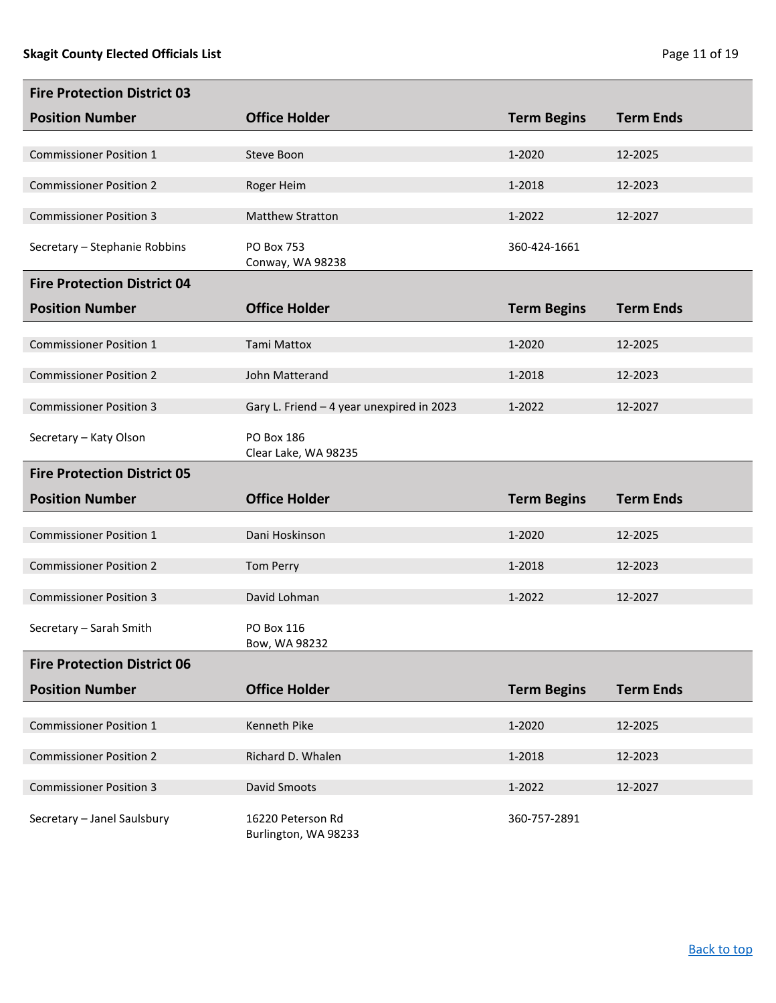| <b>Fire Protection District 03</b> |                                           |                    |                  |
|------------------------------------|-------------------------------------------|--------------------|------------------|
| <b>Position Number</b>             | <b>Office Holder</b>                      | <b>Term Begins</b> | <b>Term Ends</b> |
| <b>Commissioner Position 1</b>     | Steve Boon                                | 1-2020             | 12-2025          |
|                                    |                                           |                    |                  |
| <b>Commissioner Position 2</b>     | Roger Heim                                | 1-2018             | 12-2023          |
| <b>Commissioner Position 3</b>     | <b>Matthew Stratton</b>                   | 1-2022             | 12-2027          |
| Secretary - Stephanie Robbins      | PO Box 753<br>Conway, WA 98238            | 360-424-1661       |                  |
| <b>Fire Protection District 04</b> |                                           |                    |                  |
| <b>Position Number</b>             | <b>Office Holder</b>                      | <b>Term Begins</b> | <b>Term Ends</b> |
| <b>Commissioner Position 1</b>     | <b>Tami Mattox</b>                        | 1-2020             | 12-2025          |
|                                    |                                           |                    |                  |
| <b>Commissioner Position 2</b>     | John Matterand                            | 1-2018             | 12-2023          |
| <b>Commissioner Position 3</b>     | Gary L. Friend - 4 year unexpired in 2023 | 1-2022             | 12-2027          |
| Secretary - Katy Olson             | PO Box 186<br>Clear Lake, WA 98235        |                    |                  |
| <b>Fire Protection District 05</b> |                                           |                    |                  |
|                                    |                                           |                    |                  |
| <b>Position Number</b>             | <b>Office Holder</b>                      | <b>Term Begins</b> | <b>Term Ends</b> |
|                                    |                                           |                    |                  |
| <b>Commissioner Position 1</b>     | Dani Hoskinson                            | 1-2020             | 12-2025          |
| <b>Commissioner Position 2</b>     | <b>Tom Perry</b>                          | 1-2018             | 12-2023          |
| <b>Commissioner Position 3</b>     | David Lohman                              | 1-2022             | 12-2027          |
| Secretary - Sarah Smith            | PO Box 116<br>Bow, WA 98232               |                    |                  |
| <b>Fire Protection District 06</b> |                                           |                    |                  |
| <b>Position Number</b>             | <b>Office Holder</b>                      | <b>Term Begins</b> | <b>Term Ends</b> |
|                                    |                                           |                    |                  |
| <b>Commissioner Position 1</b>     | Kenneth Pike                              | 1-2020             | 12-2025          |
| <b>Commissioner Position 2</b>     | Richard D. Whalen                         | 1-2018             | 12-2023          |
| <b>Commissioner Position 3</b>     | David Smoots                              | 1-2022             | 12-2027          |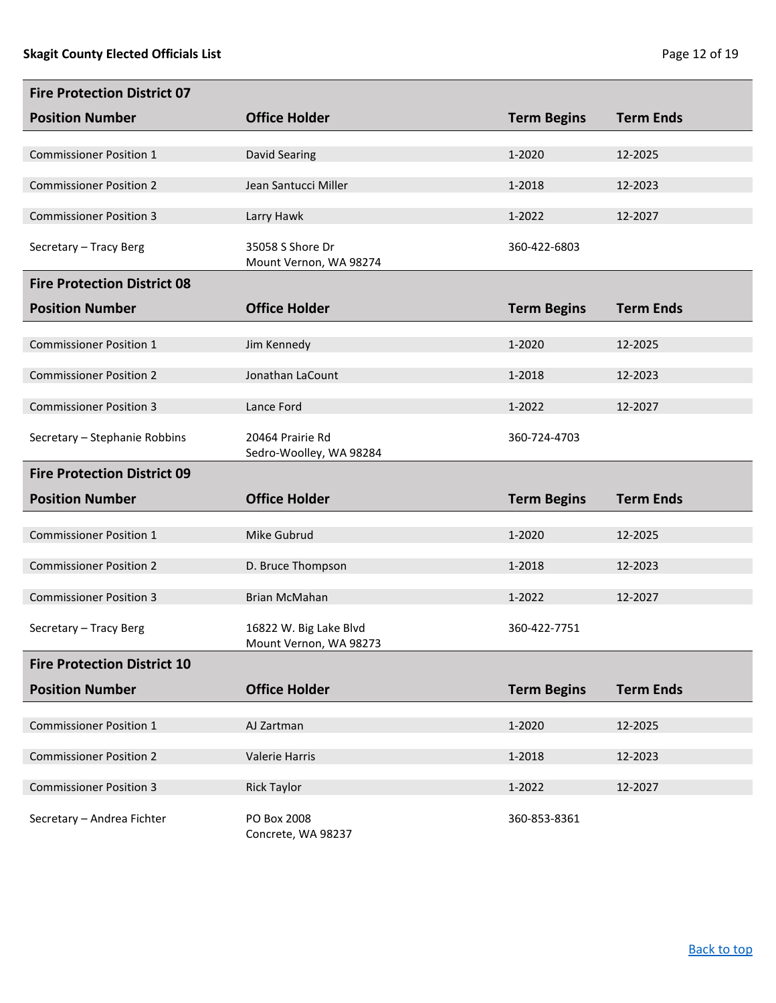| <b>Fire Protection District 07</b> |                                             |                    |                  |
|------------------------------------|---------------------------------------------|--------------------|------------------|
| <b>Position Number</b>             | <b>Office Holder</b>                        | <b>Term Begins</b> | <b>Term Ends</b> |
|                                    |                                             |                    |                  |
| <b>Commissioner Position 1</b>     | <b>David Searing</b>                        | 1-2020             | 12-2025          |
| <b>Commissioner Position 2</b>     | Jean Santucci Miller                        | 1-2018             | 12-2023          |
| <b>Commissioner Position 3</b>     | Larry Hawk                                  | 1-2022             | 12-2027          |
| Secretary - Tracy Berg             | 35058 S Shore Dr<br>Mount Vernon, WA 98274  | 360-422-6803       |                  |
| <b>Fire Protection District 08</b> |                                             |                    |                  |
| <b>Position Number</b>             | <b>Office Holder</b>                        | <b>Term Begins</b> | <b>Term Ends</b> |
|                                    |                                             |                    |                  |
| <b>Commissioner Position 1</b>     | Jim Kennedy                                 | 1-2020             | 12-2025          |
| <b>Commissioner Position 2</b>     | Jonathan LaCount                            | 1-2018             | 12-2023          |
| <b>Commissioner Position 3</b>     | Lance Ford                                  | 1-2022             | 12-2027          |
| Secretary - Stephanie Robbins      | 20464 Prairie Rd<br>Sedro-Woolley, WA 98284 | 360-724-4703       |                  |
| <b>Fire Protection District 09</b> |                                             |                    |                  |
| <b>Position Number</b>             | <b>Office Holder</b>                        | <b>Term Begins</b> | <b>Term Ends</b> |
|                                    |                                             |                    |                  |
| <b>Commissioner Position 1</b>     | Mike Gubrud                                 | 1-2020             | 12-2025          |
|                                    |                                             |                    |                  |
| <b>Commissioner Position 2</b>     | D. Bruce Thompson                           | 1-2018             | 12-2023          |
| <b>Commissioner Position 3</b>     | <b>Brian McMahan</b>                        | 1-2022             | 12-2027          |
| Secretary - Tracy Berg             | 16822 W. Big Lake Blvd                      | 360-422-7751       |                  |
| <b>Fire Protection District 10</b> | Mount Vernon, WA 98273                      |                    |                  |
| <b>Position Number</b>             | <b>Office Holder</b>                        | <b>Term Begins</b> | <b>Term Ends</b> |
|                                    |                                             |                    |                  |
| <b>Commissioner Position 1</b>     | AJ Zartman                                  | 1-2020             | 12-2025          |
| <b>Commissioner Position 2</b>     | Valerie Harris                              | 1-2018             | 12-2023          |
| <b>Commissioner Position 3</b>     | <b>Rick Taylor</b>                          | 1-2022             | 12-2027          |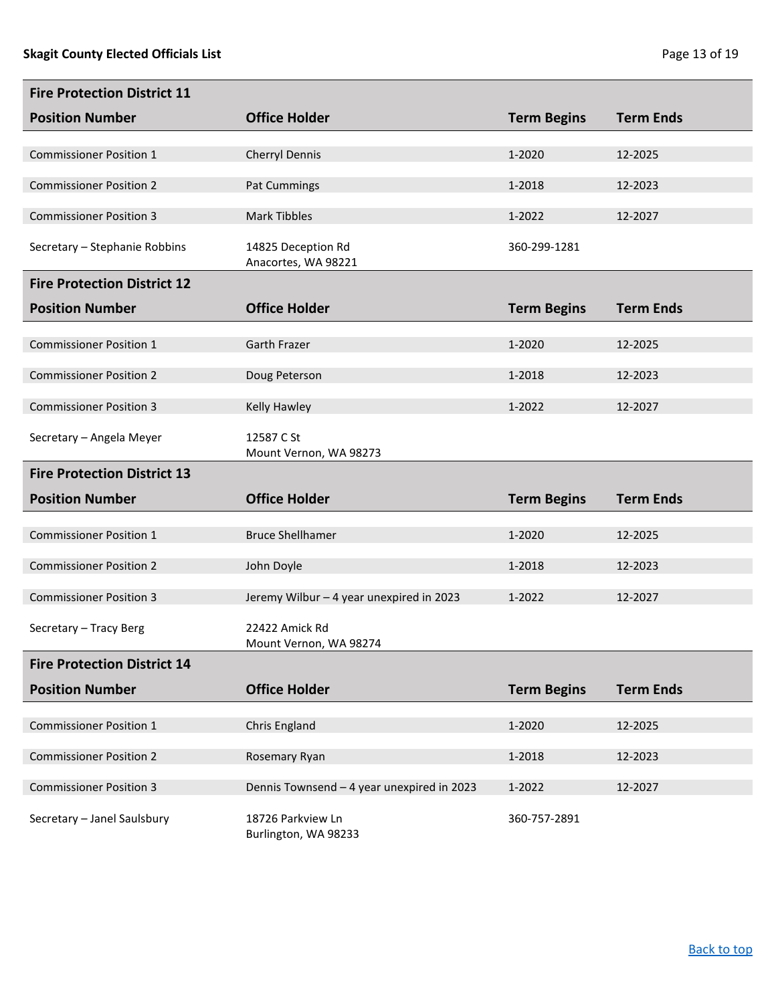| <b>Fire Protection District 11</b> |                                            |                    |                  |
|------------------------------------|--------------------------------------------|--------------------|------------------|
| <b>Position Number</b>             | <b>Office Holder</b>                       | <b>Term Begins</b> | <b>Term Ends</b> |
| <b>Commissioner Position 1</b>     | Cherryl Dennis                             | 1-2020             | 12-2025          |
|                                    |                                            |                    |                  |
| <b>Commissioner Position 2</b>     | <b>Pat Cummings</b>                        | 1-2018             | 12-2023          |
| <b>Commissioner Position 3</b>     | <b>Mark Tibbles</b>                        | 1-2022             | 12-2027          |
| Secretary - Stephanie Robbins      | 14825 Deception Rd<br>Anacortes, WA 98221  | 360-299-1281       |                  |
| <b>Fire Protection District 12</b> |                                            |                    |                  |
| <b>Position Number</b>             | <b>Office Holder</b>                       | <b>Term Begins</b> | <b>Term Ends</b> |
| <b>Commissioner Position 1</b>     | Garth Frazer                               | 1-2020             | 12-2025          |
| <b>Commissioner Position 2</b>     | Doug Peterson                              | 1-2018             | 12-2023          |
|                                    |                                            |                    |                  |
| <b>Commissioner Position 3</b>     | Kelly Hawley                               | 1-2022             | 12-2027          |
| Secretary - Angela Meyer           | 12587 C St<br>Mount Vernon, WA 98273       |                    |                  |
| <b>Fire Protection District 13</b> |                                            |                    |                  |
| <b>Position Number</b>             | <b>Office Holder</b>                       | <b>Term Begins</b> | <b>Term Ends</b> |
|                                    |                                            |                    |                  |
| <b>Commissioner Position 1</b>     | <b>Bruce Shellhamer</b>                    | 1-2020             | 12-2025          |
| <b>Commissioner Position 2</b>     | John Doyle                                 | 1-2018             | 12-2023          |
| <b>Commissioner Position 3</b>     | Jeremy Wilbur - 4 year unexpired in 2023   | 1-2022             | 12-2027          |
| Secretary - Tracy Berg             | 22422 Amick Rd<br>Mount Vernon, WA 98274   |                    |                  |
| <b>Fire Protection District 14</b> |                                            |                    |                  |
| <b>Position Number</b>             | <b>Office Holder</b>                       | <b>Term Begins</b> | <b>Term Ends</b> |
|                                    |                                            | 1-2020             |                  |
| <b>Commissioner Position 1</b>     | Chris England                              |                    | 12-2025          |
| <b>Commissioner Position 2</b>     | Rosemary Ryan                              | 1-2018             | 12-2023          |
| <b>Commissioner Position 3</b>     | Dennis Townsend - 4 year unexpired in 2023 | 1-2022             | 12-2027          |
| Secretary - Janel Saulsbury        |                                            |                    |                  |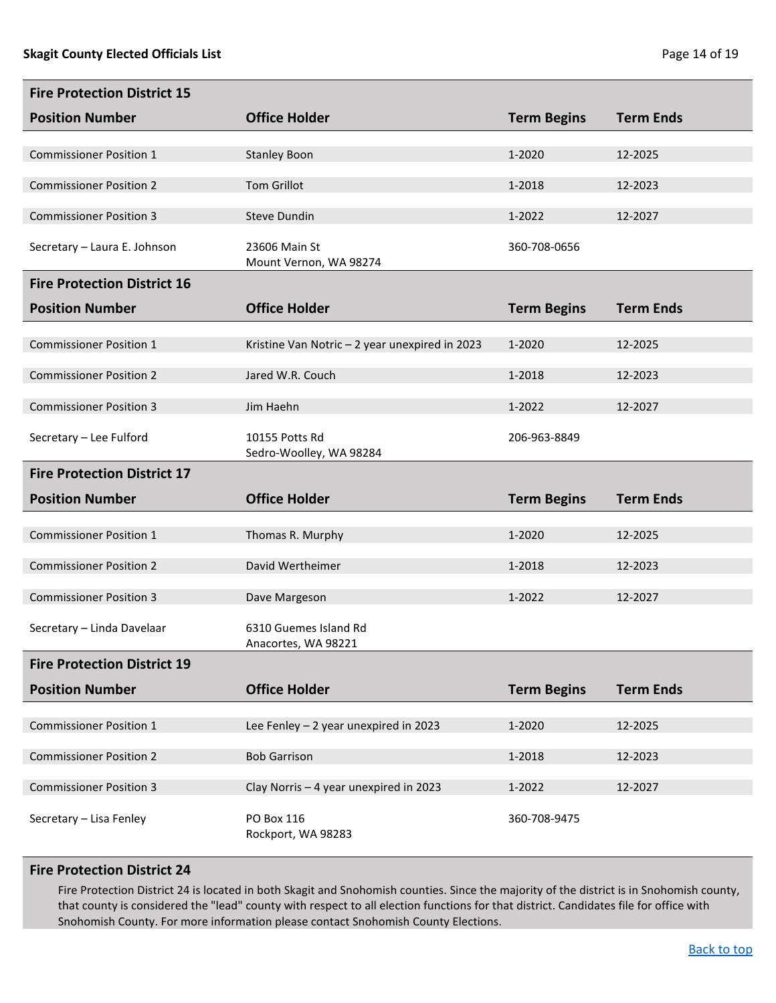| <b>Fire Protection District 15</b> |                                                |                    |                  |
|------------------------------------|------------------------------------------------|--------------------|------------------|
| <b>Position Number</b>             | <b>Office Holder</b>                           | <b>Term Begins</b> | <b>Term Ends</b> |
| <b>Commissioner Position 1</b>     | <b>Stanley Boon</b>                            | 1-2020             | 12-2025          |
|                                    |                                                |                    |                  |
| <b>Commissioner Position 2</b>     | <b>Tom Grillot</b>                             | 1-2018             | 12-2023          |
| <b>Commissioner Position 3</b>     | Steve Dundin                                   | 1-2022             | 12-2027          |
| Secretary - Laura E. Johnson       | 23606 Main St<br>Mount Vernon, WA 98274        | 360-708-0656       |                  |
| <b>Fire Protection District 16</b> |                                                |                    |                  |
| <b>Position Number</b>             | <b>Office Holder</b>                           | <b>Term Begins</b> | <b>Term Ends</b> |
| <b>Commissioner Position 1</b>     | Kristine Van Notric - 2 year unexpired in 2023 | 1-2020             | 12-2025          |
| <b>Commissioner Position 2</b>     | Jared W.R. Couch                               | 1-2018             | 12-2023          |
| <b>Commissioner Position 3</b>     | Jim Haehn                                      | 1-2022             | 12-2027          |
| Secretary - Lee Fulford            | 10155 Potts Rd<br>Sedro-Woolley, WA 98284      | 206-963-8849       |                  |
| <b>Fire Protection District 17</b> |                                                |                    |                  |
| <b>Position Number</b>             | <b>Office Holder</b>                           | <b>Term Begins</b> | <b>Term Ends</b> |
|                                    |                                                |                    |                  |
| <b>Commissioner Position 1</b>     | Thomas R. Murphy                               | 1-2020             | 12-2025          |
| <b>Commissioner Position 2</b>     | David Wertheimer                               | 1-2018             | 12-2023          |
| <b>Commissioner Position 3</b>     | Dave Margeson                                  | 1-2022             | 12-2027          |
| Secretary - Linda Davelaar         | 6310 Guemes Island Rd<br>Anacortes, WA 98221   |                    |                  |
| <b>Fire Protection District 19</b> |                                                |                    |                  |
| <b>Position Number</b>             | <b>Office Holder</b>                           | <b>Term Begins</b> | <b>Term Ends</b> |
|                                    |                                                |                    |                  |
| <b>Commissioner Position 1</b>     | Lee Fenley $-2$ year unexpired in 2023         | 1-2020             | 12-2025          |
| <b>Commissioner Position 2</b>     | <b>Bob Garrison</b>                            | 1-2018             | 12-2023          |
| <b>Commissioner Position 3</b>     | Clay Norris - 4 year unexpired in 2023         | 1-2022             | 12-2027          |
| Secretary - Lisa Fenley            | PO Box 116<br>Rockport, WA 98283               | 360-708-9475       |                  |

### **Fire Protection District 24**

Fire Protection District 24 is located in both Skagit and Snohomish counties. Since the majority of the district is in Snohomish county, that county is considered the "lead" county with respect to all election functions for that district. Candidates file for office with Snohomish County. For more information please contact Snohomish County Elections.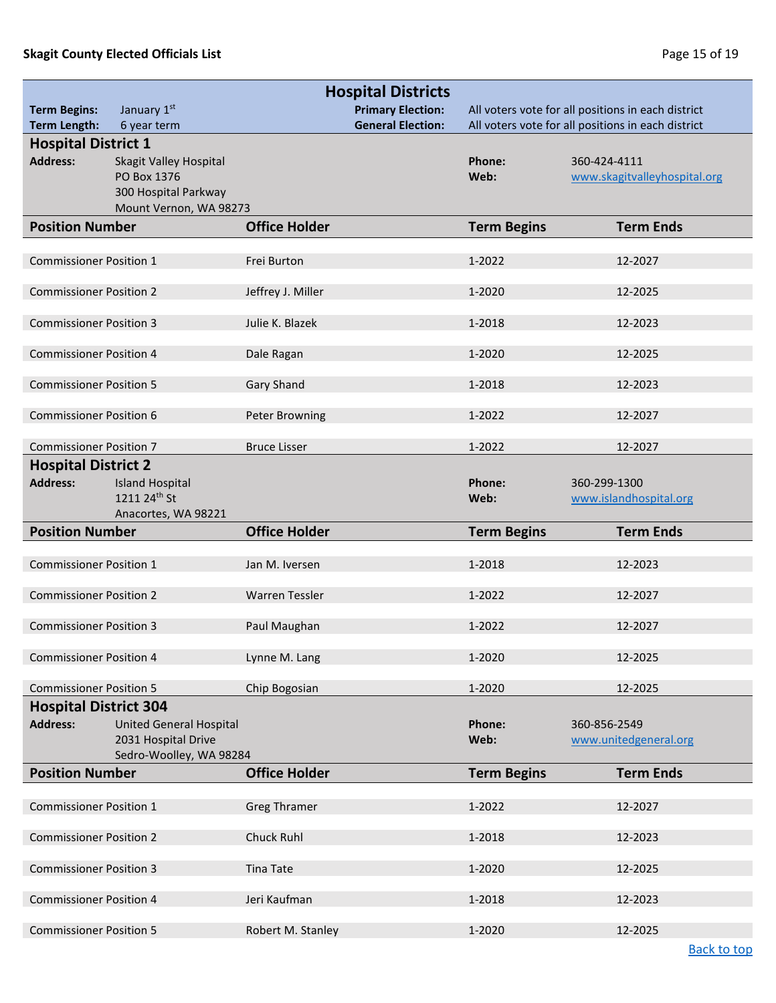## **Skagit County Elected Officials List Page 15 of 19** and **Page 15 of 19** and **Page 15 of 19**

<span id="page-14-0"></span>

|                                                 |                                                       | <b>Hospital Districts</b> |                    |                                                    |  |  |
|-------------------------------------------------|-------------------------------------------------------|---------------------------|--------------------|----------------------------------------------------|--|--|
| <b>Term Begins:</b>                             | January 1st                                           | <b>Primary Election:</b>  |                    | All voters vote for all positions in each district |  |  |
| <b>Term Length:</b>                             | 6 year term                                           | <b>General Election:</b>  |                    | All voters vote for all positions in each district |  |  |
| <b>Hospital District 1</b>                      |                                                       |                           |                    |                                                    |  |  |
| <b>Address:</b>                                 | Skagit Valley Hospital<br>PO Box 1376                 |                           | Phone:<br>Web:     | 360-424-4111                                       |  |  |
|                                                 | 300 Hospital Parkway                                  |                           |                    | www.skagitvalleyhospital.org                       |  |  |
|                                                 | Mount Vernon, WA 98273                                |                           |                    |                                                    |  |  |
| <b>Position Number</b>                          |                                                       | <b>Office Holder</b>      | <b>Term Begins</b> | <b>Term Ends</b>                                   |  |  |
|                                                 |                                                       |                           |                    |                                                    |  |  |
| <b>Commissioner Position 1</b>                  |                                                       | Frei Burton               | 1-2022             | 12-2027                                            |  |  |
|                                                 |                                                       |                           |                    |                                                    |  |  |
| <b>Commissioner Position 2</b>                  |                                                       | Jeffrey J. Miller         | 1-2020             | 12-2025                                            |  |  |
| <b>Commissioner Position 3</b>                  |                                                       | Julie K. Blazek           | 1-2018             | 12-2023                                            |  |  |
|                                                 |                                                       |                           |                    |                                                    |  |  |
| <b>Commissioner Position 4</b>                  |                                                       | Dale Ragan                | 1-2020             | 12-2025                                            |  |  |
| <b>Commissioner Position 5</b>                  |                                                       |                           | 1-2018             |                                                    |  |  |
|                                                 |                                                       | <b>Gary Shand</b>         |                    | 12-2023                                            |  |  |
| <b>Commissioner Position 6</b>                  |                                                       | <b>Peter Browning</b>     | 1-2022             | 12-2027                                            |  |  |
|                                                 |                                                       |                           |                    |                                                    |  |  |
| <b>Commissioner Position 7</b>                  |                                                       | <b>Bruce Lisser</b>       | 1-2022             | 12-2027                                            |  |  |
| <b>Hospital District 2</b>                      |                                                       |                           |                    |                                                    |  |  |
| <b>Address:</b>                                 | <b>Island Hospital</b>                                |                           | Phone:             | 360-299-1300                                       |  |  |
|                                                 | 1211 24th St<br>Anacortes, WA 98221                   |                           | Web:               | www.islandhospital.org                             |  |  |
| <b>Position Number</b>                          |                                                       | <b>Office Holder</b>      | <b>Term Begins</b> | <b>Term Ends</b>                                   |  |  |
|                                                 |                                                       |                           |                    |                                                    |  |  |
| <b>Commissioner Position 1</b>                  |                                                       | Jan M. Iversen            | 1-2018             | 12-2023                                            |  |  |
|                                                 |                                                       |                           |                    |                                                    |  |  |
| <b>Commissioner Position 2</b>                  |                                                       | <b>Warren Tessler</b>     | 1-2022             | 12-2027                                            |  |  |
| <b>Commissioner Position 3</b>                  |                                                       | Paul Maughan              | 1-2022             | 12-2027                                            |  |  |
|                                                 |                                                       |                           |                    |                                                    |  |  |
| <b>Commissioner Position 4</b>                  |                                                       | Lynne M. Lang             | 1-2020             | 12-2025                                            |  |  |
|                                                 |                                                       |                           |                    |                                                    |  |  |
| <b>Commissioner Position 5</b>                  |                                                       | Chip Bogosian             | 1-2020             | 12-2025                                            |  |  |
| <b>Hospital District 304</b><br><b>Address:</b> |                                                       |                           | Phone:             | 360-856-2549                                       |  |  |
|                                                 | <b>United General Hospital</b><br>2031 Hospital Drive |                           | Web:               | www.unitedgeneral.org                              |  |  |
|                                                 | Sedro-Woolley, WA 98284                               |                           |                    |                                                    |  |  |
| <b>Position Number</b>                          |                                                       | <b>Office Holder</b>      | <b>Term Begins</b> | <b>Term Ends</b>                                   |  |  |
|                                                 |                                                       |                           |                    |                                                    |  |  |
| <b>Commissioner Position 1</b>                  |                                                       | <b>Greg Thramer</b>       | 1-2022             | 12-2027                                            |  |  |
|                                                 |                                                       |                           |                    |                                                    |  |  |
| <b>Commissioner Position 2</b>                  |                                                       | Chuck Ruhl                | 1-2018             | 12-2023                                            |  |  |
| <b>Commissioner Position 3</b>                  |                                                       | <b>Tina Tate</b>          | 1-2020             | 12-2025                                            |  |  |
|                                                 |                                                       |                           |                    |                                                    |  |  |
| <b>Commissioner Position 4</b>                  |                                                       | Jeri Kaufman              | 1-2018             | 12-2023                                            |  |  |
| <b>Commissioner Position 5</b>                  |                                                       | Robert M. Stanley         | 1-2020             | 12-2025                                            |  |  |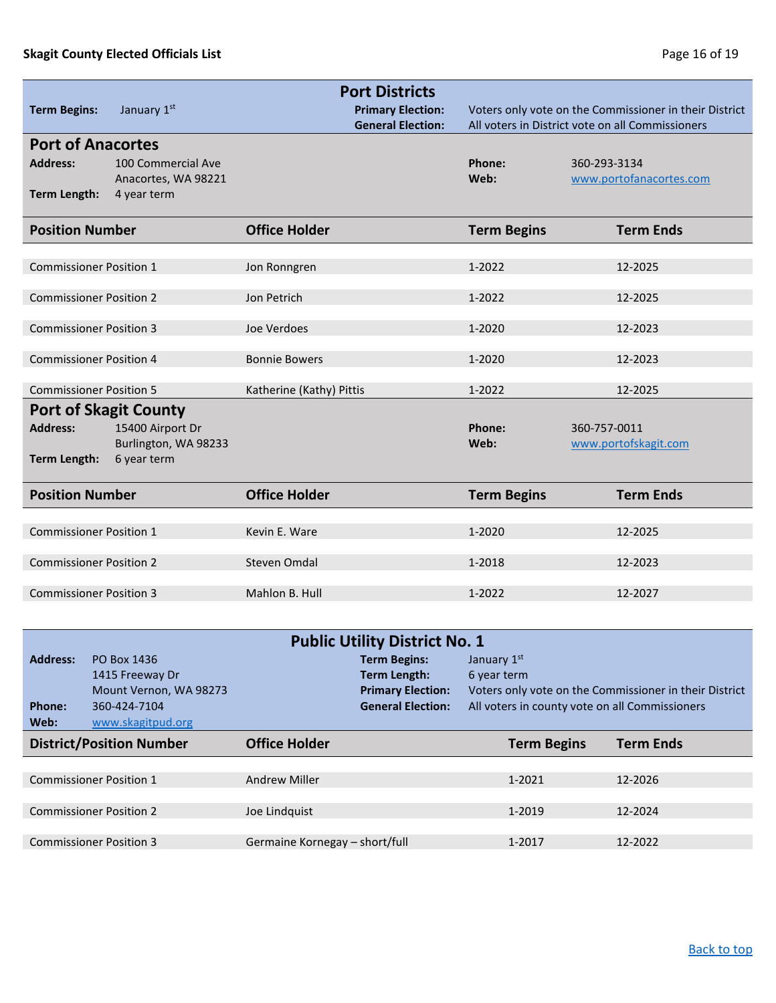## **Skagit County Elected Officials List Page 16 of 19 Page 16 of 19**

<span id="page-15-0"></span>

| <b>Term Begins:</b>                                                    | January 1st                                              | <b>Port Districts</b><br><b>Primary Election:</b><br><b>General Election:</b> |                    | Voters only vote on the Commissioner in their District<br>All voters in District vote on all Commissioners |
|------------------------------------------------------------------------|----------------------------------------------------------|-------------------------------------------------------------------------------|--------------------|------------------------------------------------------------------------------------------------------------|
| <b>Port of Anacortes</b><br><b>Address:</b><br><b>Term Length:</b>     | 100 Commercial Ave<br>Anacortes, WA 98221<br>4 year term |                                                                               | Phone:<br>Web:     | 360-293-3134<br>www.portofanacortes.com                                                                    |
| <b>Position Number</b>                                                 |                                                          | <b>Office Holder</b>                                                          | <b>Term Begins</b> | <b>Term Ends</b>                                                                                           |
| <b>Commissioner Position 1</b>                                         |                                                          | Jon Ronngren                                                                  | 1-2022             | 12-2025                                                                                                    |
| <b>Commissioner Position 2</b>                                         |                                                          | Jon Petrich                                                                   | 1-2022             | 12-2025                                                                                                    |
| <b>Commissioner Position 3</b>                                         |                                                          | Joe Verdoes                                                                   | 1-2020             | 12-2023                                                                                                    |
| <b>Commissioner Position 4</b>                                         |                                                          | <b>Bonnie Bowers</b>                                                          | 1-2020             | 12-2023                                                                                                    |
| <b>Commissioner Position 5</b>                                         |                                                          | Katherine (Kathy) Pittis                                                      | 1-2022             | 12-2025                                                                                                    |
| <b>Port of Skagit County</b><br><b>Address:</b><br><b>Term Length:</b> | 15400 Airport Dr<br>Burlington, WA 98233<br>6 year term  |                                                                               | Phone:<br>Web:     | 360-757-0011<br>www.portofskagit.com                                                                       |
| <b>Position Number</b>                                                 |                                                          | <b>Office Holder</b>                                                          | <b>Term Begins</b> | <b>Term Ends</b>                                                                                           |
| <b>Commissioner Position 1</b>                                         |                                                          | Kevin E. Ware                                                                 | 1-2020             | 12-2025                                                                                                    |
| <b>Commissioner Position 2</b>                                         |                                                          | Steven Omdal                                                                  | 1-2018             | 12-2023                                                                                                    |
| <b>Commissioner Position 3</b>                                         |                                                          | Mahlon B. Hull                                                                | 1-2022             | 12-2027                                                                                                    |

<span id="page-15-1"></span>

| <b>Public Utility District No. 1</b> |                                                             |                                |                                                      |                                                |                                                        |  |
|--------------------------------------|-------------------------------------------------------------|--------------------------------|------------------------------------------------------|------------------------------------------------|--------------------------------------------------------|--|
| <b>Address:</b>                      | PO Box 1436<br>1415 Freeway Dr                              |                                | <b>Term Begins:</b><br>Term Length:                  | January 1st<br>6 year term                     |                                                        |  |
| Phone:<br>Web:                       | Mount Vernon, WA 98273<br>360-424-7104<br>www.skagitpud.org |                                | <b>Primary Election:</b><br><b>General Election:</b> | All voters in county vote on all Commissioners | Voters only vote on the Commissioner in their District |  |
|                                      | <b>District/Position Number</b>                             | <b>Office Holder</b>           |                                                      | <b>Term Begins</b>                             | <b>Term Ends</b>                                       |  |
|                                      |                                                             |                                |                                                      |                                                |                                                        |  |
|                                      | <b>Commissioner Position 1</b>                              | <b>Andrew Miller</b>           |                                                      | 1-2021                                         | 12-2026                                                |  |
|                                      |                                                             |                                |                                                      |                                                |                                                        |  |
|                                      | <b>Commissioner Position 2</b>                              | Joe Lindquist                  |                                                      | 1-2019                                         | 12-2024                                                |  |
|                                      |                                                             |                                |                                                      |                                                |                                                        |  |
|                                      | <b>Commissioner Position 3</b>                              | Germaine Kornegay – short/full |                                                      | 1-2017                                         | 12-2022                                                |  |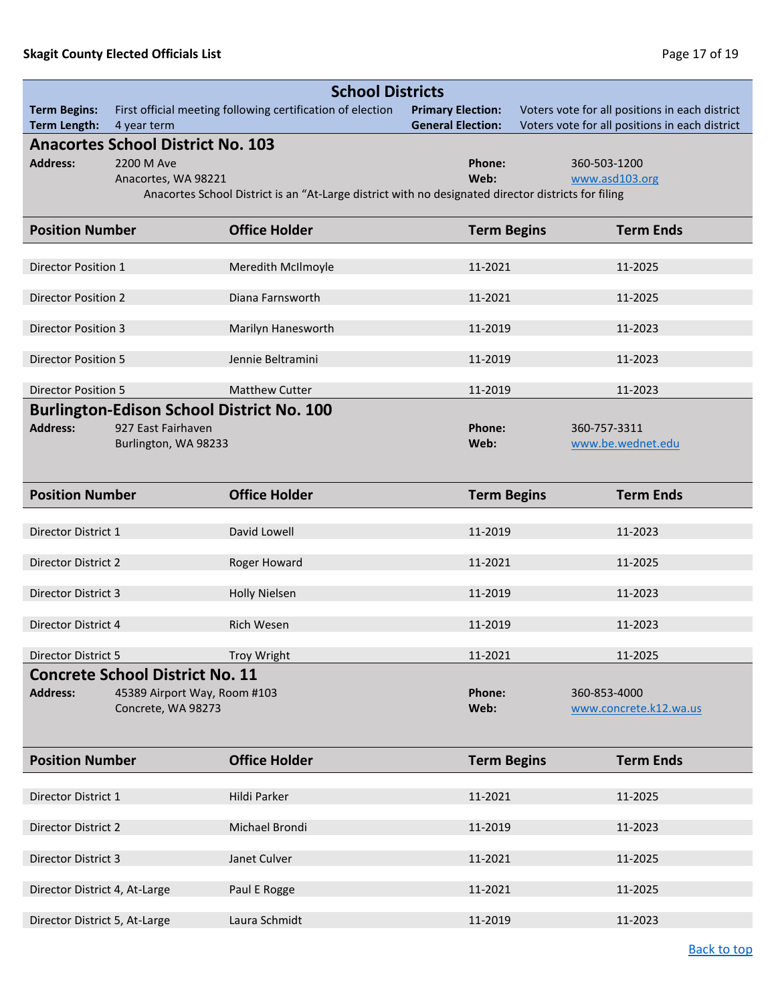<span id="page-16-0"></span>

|                                            | <b>School Districts</b>                    |                                                                                                     |                                                      |              |                                                                                                  |  |
|--------------------------------------------|--------------------------------------------|-----------------------------------------------------------------------------------------------------|------------------------------------------------------|--------------|--------------------------------------------------------------------------------------------------|--|
| <b>Term Begins:</b><br><b>Term Length:</b> | 4 year term                                | First official meeting following certification of election                                          | <b>Primary Election:</b><br><b>General Election:</b> |              | Voters vote for all positions in each district<br>Voters vote for all positions in each district |  |
|                                            | <b>Anacortes School District No. 103</b>   |                                                                                                     |                                                      |              |                                                                                                  |  |
| <b>Address:</b>                            | 2200 M Ave                                 |                                                                                                     | Phone:                                               | 360-503-1200 |                                                                                                  |  |
|                                            | Anacortes, WA 98221                        | Anacortes School District is an "At-Large district with no designated director districts for filing | Web:                                                 |              | www.asd103.org                                                                                   |  |
|                                            |                                            |                                                                                                     |                                                      |              |                                                                                                  |  |
| <b>Position Number</b>                     |                                            | <b>Office Holder</b>                                                                                | <b>Term Begins</b>                                   |              | <b>Term Ends</b>                                                                                 |  |
| Director Position 1                        |                                            | Meredith McIlmoyle                                                                                  | 11-2021                                              |              | 11-2025                                                                                          |  |
| <b>Director Position 2</b>                 |                                            | Diana Farnsworth                                                                                    | 11-2021                                              |              | 11-2025                                                                                          |  |
| <b>Director Position 3</b>                 |                                            | Marilyn Hanesworth                                                                                  | 11-2019                                              |              | 11-2023                                                                                          |  |
| <b>Director Position 5</b>                 |                                            | Jennie Beltramini                                                                                   | 11-2019                                              |              | 11-2023                                                                                          |  |
| <b>Director Position 5</b>                 |                                            | <b>Matthew Cutter</b>                                                                               | 11-2019                                              |              | 11-2023                                                                                          |  |
|                                            |                                            | <b>Burlington-Edison School District No. 100</b>                                                    |                                                      |              |                                                                                                  |  |
| <b>Address:</b>                            | 927 East Fairhaven<br>Burlington, WA 98233 |                                                                                                     | Phone:<br>Web:                                       | 360-757-3311 | www.be.wednet.edu                                                                                |  |
|                                            |                                            |                                                                                                     |                                                      |              |                                                                                                  |  |
| <b>Position Number</b>                     |                                            | <b>Office Holder</b>                                                                                | <b>Term Begins</b>                                   |              | <b>Term Ends</b>                                                                                 |  |
| Director District 1                        |                                            | David Lowell                                                                                        | 11-2019                                              |              | 11-2023                                                                                          |  |
|                                            |                                            |                                                                                                     |                                                      |              |                                                                                                  |  |
| Director District 2                        |                                            | Roger Howard                                                                                        | 11-2021                                              |              | 11-2025                                                                                          |  |
| Director District 3                        |                                            | <b>Holly Nielsen</b>                                                                                | 11-2019                                              |              | 11-2023                                                                                          |  |
| Director District 4                        |                                            | Rich Wesen                                                                                          | 11-2019                                              |              | 11-2023                                                                                          |  |
| Director District 5                        |                                            | <b>Troy Wright</b>                                                                                  | 11-2021                                              |              | 11-2025                                                                                          |  |
|                                            | <b>Concrete School District No. 11</b>     |                                                                                                     |                                                      |              |                                                                                                  |  |
| <b>Address:</b>                            | 45389 Airport Way, Room #103               |                                                                                                     | Phone:                                               | 360-853-4000 |                                                                                                  |  |
|                                            | Concrete, WA 98273                         |                                                                                                     | Web:                                                 |              | www.concrete.k12.wa.us                                                                           |  |
| <b>Position Number</b>                     |                                            | <b>Office Holder</b>                                                                                | <b>Term Begins</b>                                   |              | <b>Term Ends</b>                                                                                 |  |
|                                            |                                            |                                                                                                     |                                                      |              |                                                                                                  |  |
| Director District 1                        |                                            | Hildi Parker                                                                                        | 11-2021                                              |              | 11-2025                                                                                          |  |
| Director District 2                        |                                            | Michael Brondi                                                                                      | 11-2019                                              |              | 11-2023                                                                                          |  |
| Director District 3                        |                                            | Janet Culver                                                                                        | 11-2021                                              |              | 11-2025                                                                                          |  |
| Director District 4, At-Large              |                                            | Paul E Rogge                                                                                        | 11-2021                                              |              | 11-2025                                                                                          |  |
| Director District 5, At-Large              |                                            | Laura Schmidt                                                                                       | 11-2019                                              |              | 11-2023                                                                                          |  |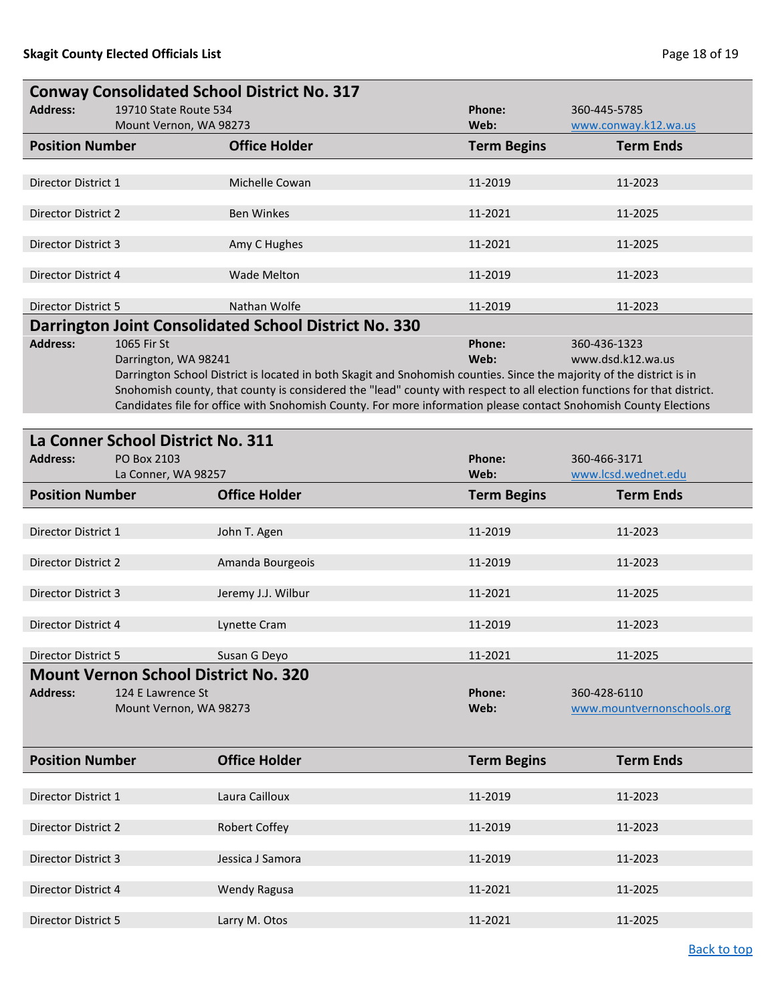| <b>Conway Consolidated School District No. 317</b>                                                            |                                                 |                                                                                                                                                                                                                                                                                                                                                                                                                                                                 |                            |                                            |  |  |  |  |
|---------------------------------------------------------------------------------------------------------------|-------------------------------------------------|-----------------------------------------------------------------------------------------------------------------------------------------------------------------------------------------------------------------------------------------------------------------------------------------------------------------------------------------------------------------------------------------------------------------------------------------------------------------|----------------------------|--------------------------------------------|--|--|--|--|
| <b>Address:</b>                                                                                               | 19710 State Route 534<br>Mount Vernon, WA 98273 |                                                                                                                                                                                                                                                                                                                                                                                                                                                                 | Phone:<br>Web:             | 360-445-5785<br>www.conway.k12.wa.us       |  |  |  |  |
| <b>Position Number</b>                                                                                        |                                                 | <b>Office Holder</b>                                                                                                                                                                                                                                                                                                                                                                                                                                            | <b>Term Begins</b>         | <b>Term Ends</b>                           |  |  |  |  |
|                                                                                                               |                                                 |                                                                                                                                                                                                                                                                                                                                                                                                                                                                 |                            |                                            |  |  |  |  |
| Director District 1                                                                                           |                                                 | Michelle Cowan                                                                                                                                                                                                                                                                                                                                                                                                                                                  | 11-2019                    | 11-2023                                    |  |  |  |  |
| Director District 2                                                                                           |                                                 | <b>Ben Winkes</b>                                                                                                                                                                                                                                                                                                                                                                                                                                               | 11-2021                    | 11-2025                                    |  |  |  |  |
| <b>Director District 3</b>                                                                                    |                                                 | Amy C Hughes                                                                                                                                                                                                                                                                                                                                                                                                                                                    | 11-2021                    | 11-2025                                    |  |  |  |  |
| Director District 4                                                                                           |                                                 | <b>Wade Melton</b>                                                                                                                                                                                                                                                                                                                                                                                                                                              | 11-2019                    | 11-2023                                    |  |  |  |  |
| <b>Director District 5</b>                                                                                    |                                                 | Nathan Wolfe                                                                                                                                                                                                                                                                                                                                                                                                                                                    | 11-2019                    | 11-2023                                    |  |  |  |  |
| <b>Address:</b><br>1065 Fir St<br>Darrington, WA 98241                                                        |                                                 | Darrington Joint Consolidated School District No. 330<br>Phone:<br>360-436-1323<br>Web:<br>Darrington School District is located in both Skagit and Snohomish counties. Since the majority of the district is in<br>Snohomish county, that county is considered the "lead" county with respect to all election functions for that district.<br>Candidates file for office with Snohomish County. For more information please contact Snohomish County Elections |                            | www.dsd.k12.wa.us                          |  |  |  |  |
|                                                                                                               |                                                 |                                                                                                                                                                                                                                                                                                                                                                                                                                                                 |                            |                                            |  |  |  |  |
| La Conner School District No. 311<br><b>Address:</b><br>PO Box 2103                                           |                                                 |                                                                                                                                                                                                                                                                                                                                                                                                                                                                 | Phone:                     | 360-466-3171                               |  |  |  |  |
| La Conner, WA 98257<br><b>Position Number</b>                                                                 |                                                 | <b>Office Holder</b>                                                                                                                                                                                                                                                                                                                                                                                                                                            | Web:<br><b>Term Begins</b> | www.lcsd.wednet.edu<br><b>Term Ends</b>    |  |  |  |  |
| Director District 1                                                                                           |                                                 | John T. Agen                                                                                                                                                                                                                                                                                                                                                                                                                                                    | 11-2019                    | 11-2023                                    |  |  |  |  |
| Director District 2                                                                                           |                                                 | Amanda Bourgeois                                                                                                                                                                                                                                                                                                                                                                                                                                                | 11-2019                    | 11-2023                                    |  |  |  |  |
| <b>Director District 3</b>                                                                                    |                                                 | Jeremy J.J. Wilbur                                                                                                                                                                                                                                                                                                                                                                                                                                              | 11-2021                    | 11-2025                                    |  |  |  |  |
| Director District 4                                                                                           |                                                 | Lynette Cram                                                                                                                                                                                                                                                                                                                                                                                                                                                    | 11-2019                    | 11-2023                                    |  |  |  |  |
| Director District 5                                                                                           |                                                 | Susan G Deyo                                                                                                                                                                                                                                                                                                                                                                                                                                                    | 11-2021                    | 11-2025                                    |  |  |  |  |
| <b>Mount Vernon School District No. 320</b><br><b>Address:</b><br>124 E Lawrence St<br>Mount Vernon, WA 98273 |                                                 |                                                                                                                                                                                                                                                                                                                                                                                                                                                                 | Phone:<br>Web:             | 360-428-6110<br>www.mountvernonschools.org |  |  |  |  |
| <b>Position Number</b>                                                                                        |                                                 | <b>Office Holder</b>                                                                                                                                                                                                                                                                                                                                                                                                                                            | <b>Term Begins</b>         | <b>Term Ends</b>                           |  |  |  |  |
| Director District 1                                                                                           |                                                 | Laura Cailloux                                                                                                                                                                                                                                                                                                                                                                                                                                                  | 11-2019                    | 11-2023                                    |  |  |  |  |
| Director District 2                                                                                           |                                                 | <b>Robert Coffey</b>                                                                                                                                                                                                                                                                                                                                                                                                                                            | 11-2019                    | 11-2023                                    |  |  |  |  |
| Director District 3                                                                                           |                                                 | Jessica J Samora                                                                                                                                                                                                                                                                                                                                                                                                                                                | 11-2019                    | 11-2023                                    |  |  |  |  |
| Director District 4                                                                                           |                                                 | <b>Wendy Ragusa</b>                                                                                                                                                                                                                                                                                                                                                                                                                                             | 11-2021                    | 11-2025                                    |  |  |  |  |
| Director District 5                                                                                           |                                                 | Larry M. Otos                                                                                                                                                                                                                                                                                                                                                                                                                                                   | 11-2021                    | 11-2025                                    |  |  |  |  |